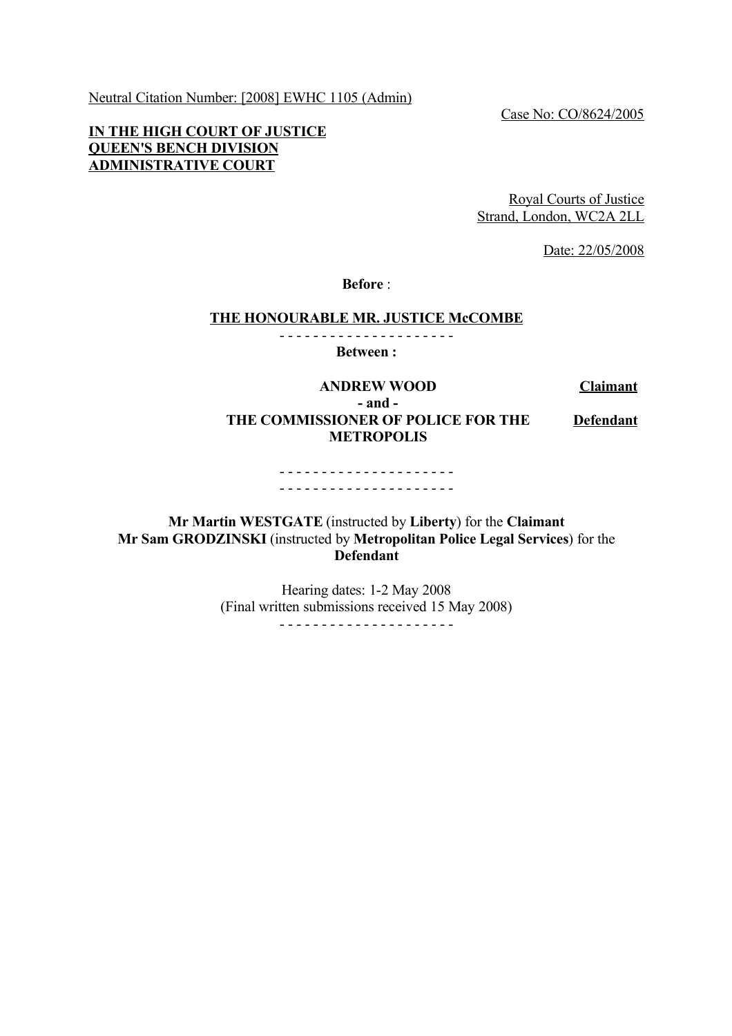Neutral Citation Number: [2008] EWHC 1105 (Admin)

Case No: CO/8624/2005

### **IN THE HIGH COURT OF JUSTICE QUEEN'S BENCH DIVISION ADMINISTRATIVE COURT**

Royal Courts of Justice Strand, London, WC2A 2LL

Date: 22/05/2008

**Before** :

#### **THE HONOURABLE MR. JUSTICE McCOMBE**

- - - - - - - - - - - - - - - - - - - - -

**Between :**

**ANDREW WOOD Claimant - and - THE COMMISSIONER OF POLICE FOR THE METROPOLIS**

**Defendant**

#### - - - - - - - - - - - - - - - - - - - - - - - - - - - - - - - - - - - - - - - - - -

**Mr Martin WESTGATE** (instructed by **Liberty**) for the **Claimant Mr Sam GRODZINSKI** (instructed by **Metropolitan Police Legal Services**) for the **Defendant**

> Hearing dates: 1-2 May 2008 (Final written submissions received 15 May 2008)

- - - - - - - - - - - - - - - - - - - - -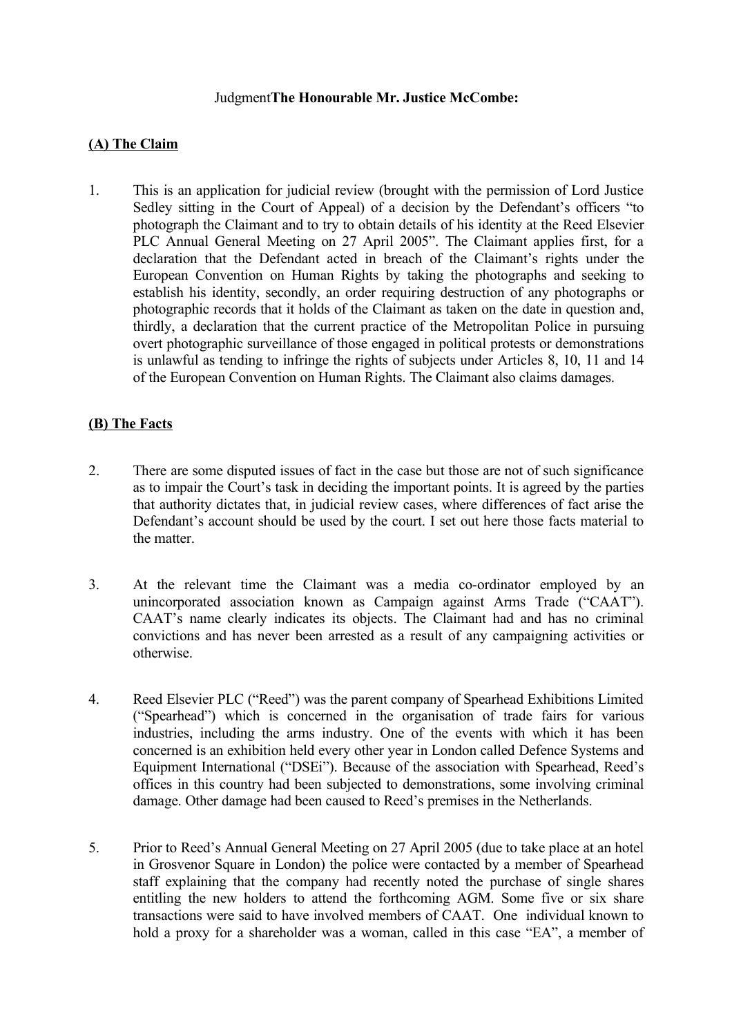## Judgment**The Honourable Mr. Justice McCombe:**

## **(A) The Claim**

1. This is an application for judicial review (brought with the permission of Lord Justice Sedley sitting in the Court of Appeal) of a decision by the Defendant's officers "to photograph the Claimant and to try to obtain details of his identity at the Reed Elsevier PLC Annual General Meeting on 27 April 2005". The Claimant applies first, for a declaration that the Defendant acted in breach of the Claimant's rights under the European Convention on Human Rights by taking the photographs and seeking to establish his identity, secondly, an order requiring destruction of any photographs or photographic records that it holds of the Claimant as taken on the date in question and, thirdly, a declaration that the current practice of the Metropolitan Police in pursuing overt photographic surveillance of those engaged in political protests or demonstrations is unlawful as tending to infringe the rights of subjects under Articles 8, 10, 11 and 14 of the European Convention on Human Rights. The Claimant also claims damages.

## **(B) The Facts**

- 2. There are some disputed issues of fact in the case but those are not of such significance as to impair the Court's task in deciding the important points. It is agreed by the parties that authority dictates that, in judicial review cases, where differences of fact arise the Defendant's account should be used by the court. I set out here those facts material to the matter.
- 3. At the relevant time the Claimant was a media co-ordinator employed by an unincorporated association known as Campaign against Arms Trade ("CAAT"). CAAT's name clearly indicates its objects. The Claimant had and has no criminal convictions and has never been arrested as a result of any campaigning activities or otherwise.
- 4. Reed Elsevier PLC ("Reed") was the parent company of Spearhead Exhibitions Limited ("Spearhead") which is concerned in the organisation of trade fairs for various industries, including the arms industry. One of the events with which it has been concerned is an exhibition held every other year in London called Defence Systems and Equipment International ("DSEi"). Because of the association with Spearhead, Reed's offices in this country had been subjected to demonstrations, some involving criminal damage. Other damage had been caused to Reed's premises in the Netherlands.
- 5. Prior to Reed's Annual General Meeting on 27 April 2005 (due to take place at an hotel in Grosvenor Square in London) the police were contacted by a member of Spearhead staff explaining that the company had recently noted the purchase of single shares entitling the new holders to attend the forthcoming AGM. Some five or six share transactions were said to have involved members of CAAT. One individual known to hold a proxy for a shareholder was a woman, called in this case "EA", a member of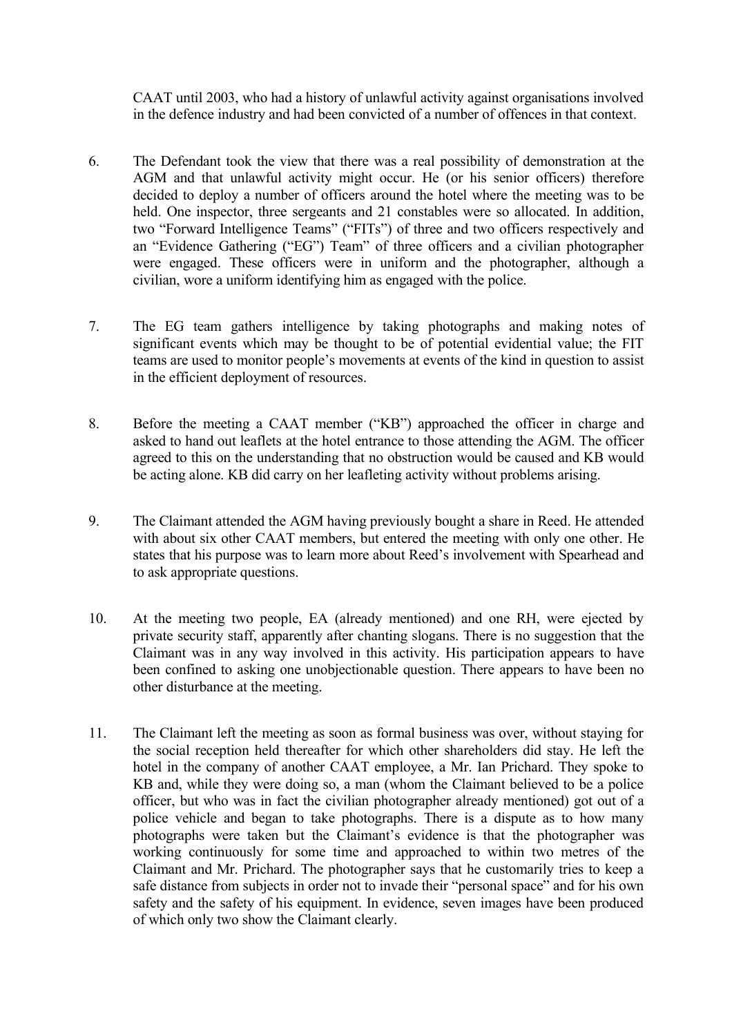CAAT until 2003, who had a history of unlawful activity against organisations involved in the defence industry and had been convicted of a number of offences in that context.

- 6. The Defendant took the view that there was a real possibility of demonstration at the AGM and that unlawful activity might occur. He (or his senior officers) therefore decided to deploy a number of officers around the hotel where the meeting was to be held. One inspector, three sergeants and 21 constables were so allocated. In addition, two "Forward Intelligence Teams" ("FITs") of three and two officers respectively and an "Evidence Gathering ("EG") Team" of three officers and a civilian photographer were engaged. These officers were in uniform and the photographer, although a civilian, wore a uniform identifying him as engaged with the police.
- 7. The EG team gathers intelligence by taking photographs and making notes of significant events which may be thought to be of potential evidential value; the FIT teams are used to monitor people's movements at events of the kind in question to assist in the efficient deployment of resources.
- 8. Before the meeting a CAAT member ("KB") approached the officer in charge and asked to hand out leaflets at the hotel entrance to those attending the AGM. The officer agreed to this on the understanding that no obstruction would be caused and KB would be acting alone. KB did carry on her leafleting activity without problems arising.
- 9. The Claimant attended the AGM having previously bought a share in Reed. He attended with about six other CAAT members, but entered the meeting with only one other. He states that his purpose was to learn more about Reed's involvement with Spearhead and to ask appropriate questions.
- 10. At the meeting two people, EA (already mentioned) and one RH, were ejected by private security staff, apparently after chanting slogans. There is no suggestion that the Claimant was in any way involved in this activity. His participation appears to have been confined to asking one unobjectionable question. There appears to have been no other disturbance at the meeting.
- 11. The Claimant left the meeting as soon as formal business was over, without staying for the social reception held thereafter for which other shareholders did stay. He left the hotel in the company of another CAAT employee, a Mr. Ian Prichard. They spoke to KB and, while they were doing so, a man (whom the Claimant believed to be a police officer, but who was in fact the civilian photographer already mentioned) got out of a police vehicle and began to take photographs. There is a dispute as to how many photographs were taken but the Claimant's evidence is that the photographer was working continuously for some time and approached to within two metres of the Claimant and Mr. Prichard. The photographer says that he customarily tries to keep a safe distance from subjects in order not to invade their "personal space" and for his own safety and the safety of his equipment. In evidence, seven images have been produced of which only two show the Claimant clearly.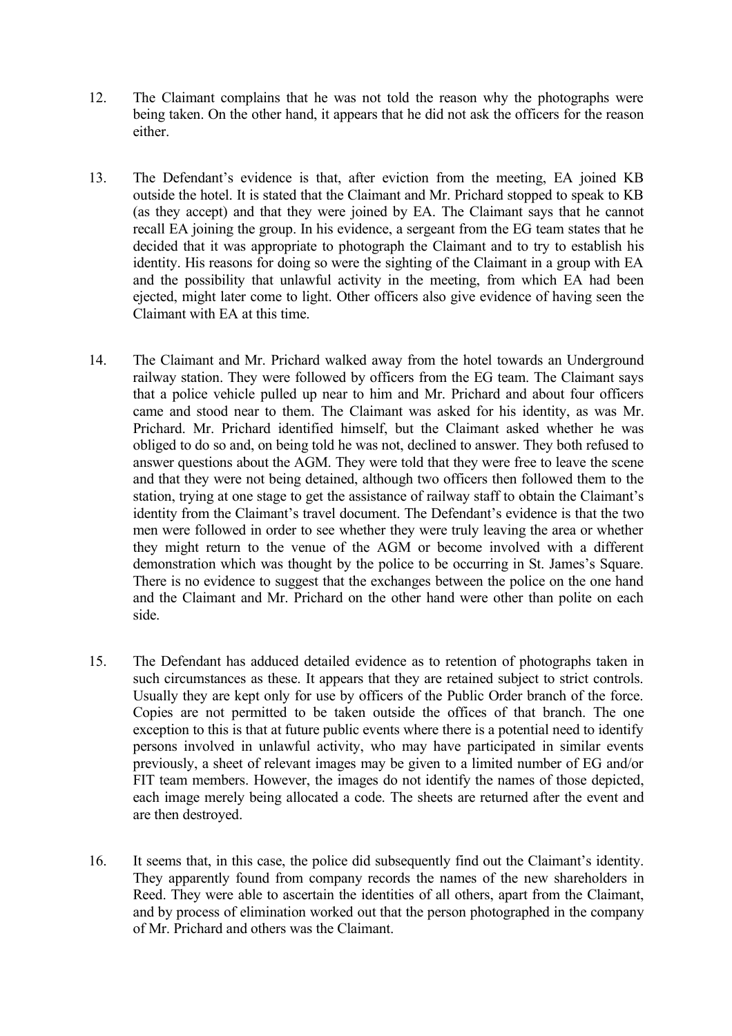- 12. The Claimant complains that he was not told the reason why the photographs were being taken. On the other hand, it appears that he did not ask the officers for the reason either.
- 13. The Defendant's evidence is that, after eviction from the meeting, EA joined KB outside the hotel. It is stated that the Claimant and Mr. Prichard stopped to speak to KB (as they accept) and that they were joined by EA. The Claimant says that he cannot recall EA joining the group. In his evidence, a sergeant from the EG team states that he decided that it was appropriate to photograph the Claimant and to try to establish his identity. His reasons for doing so were the sighting of the Claimant in a group with EA and the possibility that unlawful activity in the meeting, from which EA had been ejected, might later come to light. Other officers also give evidence of having seen the Claimant with EA at this time.
- 14. The Claimant and Mr. Prichard walked away from the hotel towards an Underground railway station. They were followed by officers from the EG team. The Claimant says that a police vehicle pulled up near to him and Mr. Prichard and about four officers came and stood near to them. The Claimant was asked for his identity, as was Mr. Prichard. Mr. Prichard identified himself, but the Claimant asked whether he was obliged to do so and, on being told he was not, declined to answer. They both refused to answer questions about the AGM. They were told that they were free to leave the scene and that they were not being detained, although two officers then followed them to the station, trying at one stage to get the assistance of railway staff to obtain the Claimant's identity from the Claimant's travel document. The Defendant's evidence is that the two men were followed in order to see whether they were truly leaving the area or whether they might return to the venue of the AGM or become involved with a different demonstration which was thought by the police to be occurring in St. James's Square. There is no evidence to suggest that the exchanges between the police on the one hand and the Claimant and Mr. Prichard on the other hand were other than polite on each side.
- 15. The Defendant has adduced detailed evidence as to retention of photographs taken in such circumstances as these. It appears that they are retained subject to strict controls. Usually they are kept only for use by officers of the Public Order branch of the force. Copies are not permitted to be taken outside the offices of that branch. The one exception to this is that at future public events where there is a potential need to identify persons involved in unlawful activity, who may have participated in similar events previously, a sheet of relevant images may be given to a limited number of EG and/or FIT team members. However, the images do not identify the names of those depicted, each image merely being allocated a code. The sheets are returned after the event and are then destroyed.
- 16. It seems that, in this case, the police did subsequently find out the Claimant's identity. They apparently found from company records the names of the new shareholders in Reed. They were able to ascertain the identities of all others, apart from the Claimant, and by process of elimination worked out that the person photographed in the company of Mr. Prichard and others was the Claimant.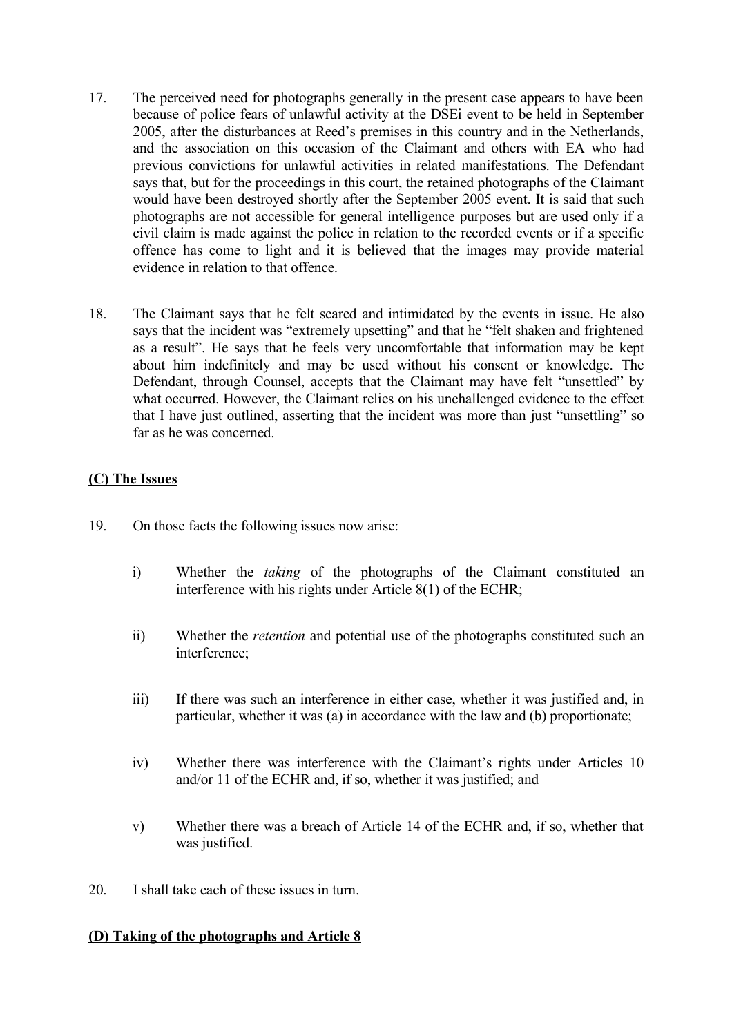- 17. The perceived need for photographs generally in the present case appears to have been because of police fears of unlawful activity at the DSEi event to be held in September 2005, after the disturbances at Reed's premises in this country and in the Netherlands, and the association on this occasion of the Claimant and others with EA who had previous convictions for unlawful activities in related manifestations. The Defendant says that, but for the proceedings in this court, the retained photographs of the Claimant would have been destroyed shortly after the September 2005 event. It is said that such photographs are not accessible for general intelligence purposes but are used only if a civil claim is made against the police in relation to the recorded events or if a specific offence has come to light and it is believed that the images may provide material evidence in relation to that offence.
- 18. The Claimant says that he felt scared and intimidated by the events in issue. He also says that the incident was "extremely upsetting" and that he "felt shaken and frightened as a result". He says that he feels very uncomfortable that information may be kept about him indefinitely and may be used without his consent or knowledge. The Defendant, through Counsel, accepts that the Claimant may have felt "unsettled" by what occurred. However, the Claimant relies on his unchallenged evidence to the effect that I have just outlined, asserting that the incident was more than just "unsettling" so far as he was concerned.

## **(C) The Issues**

- 19. On those facts the following issues now arise:
	- i) Whether the *taking* of the photographs of the Claimant constituted an interference with his rights under Article 8(1) of the ECHR;
	- ii) Whether the *retention* and potential use of the photographs constituted such an interference;
	- iii) If there was such an interference in either case, whether it was justified and, in particular, whether it was (a) in accordance with the law and (b) proportionate;
	- iv) Whether there was interference with the Claimant's rights under Articles 10 and/or 11 of the ECHR and, if so, whether it was justified; and
	- v) Whether there was a breach of Article 14 of the ECHR and, if so, whether that was justified.
- 20. I shall take each of these issues in turn.

## **(D) Taking of the photographs and Article 8**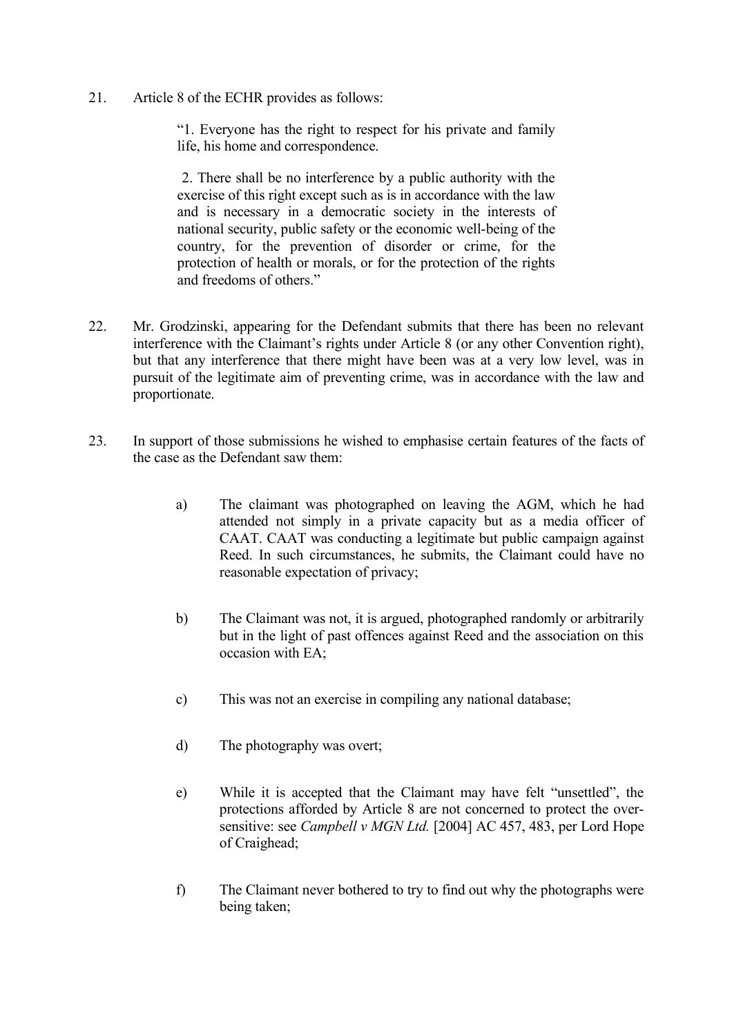21. Article 8 of the ECHR provides as follows:

"1. Everyone has the right to respect for his private and family life, his home and correspondence.

 2. There shall be no interference by a public authority with the exercise of this right except such as is in accordance with the law and is necessary in a democratic society in the interests of national security, public safety or the economic well-being of the country, for the prevention of disorder or crime, for the protection of health or morals, or for the protection of the rights and freedoms of others."

- 22. Mr. Grodzinski, appearing for the Defendant submits that there has been no relevant interference with the Claimant's rights under Article 8 (or any other Convention right), but that any interference that there might have been was at a very low level, was in pursuit of the legitimate aim of preventing crime, was in accordance with the law and proportionate.
- 23. In support of those submissions he wished to emphasise certain features of the facts of the case as the Defendant saw them:
	- a) The claimant was photographed on leaving the AGM, which he had attended not simply in a private capacity but as a media officer of CAAT. CAAT was conducting a legitimate but public campaign against Reed. In such circumstances, he submits, the Claimant could have no reasonable expectation of privacy;
	- b) The Claimant was not, it is argued, photographed randomly or arbitrarily but in the light of past offences against Reed and the association on this occasion with EA;
	- c) This was not an exercise in compiling any national database;
	- d) The photography was overt;
	- e) While it is accepted that the Claimant may have felt "unsettled", the protections afforded by Article 8 are not concerned to protect the oversensitive: see *Campbell v MGN Ltd.* [2004] AC 457, 483, per Lord Hope of Craighead;
	- f) The Claimant never bothered to try to find out why the photographs were being taken;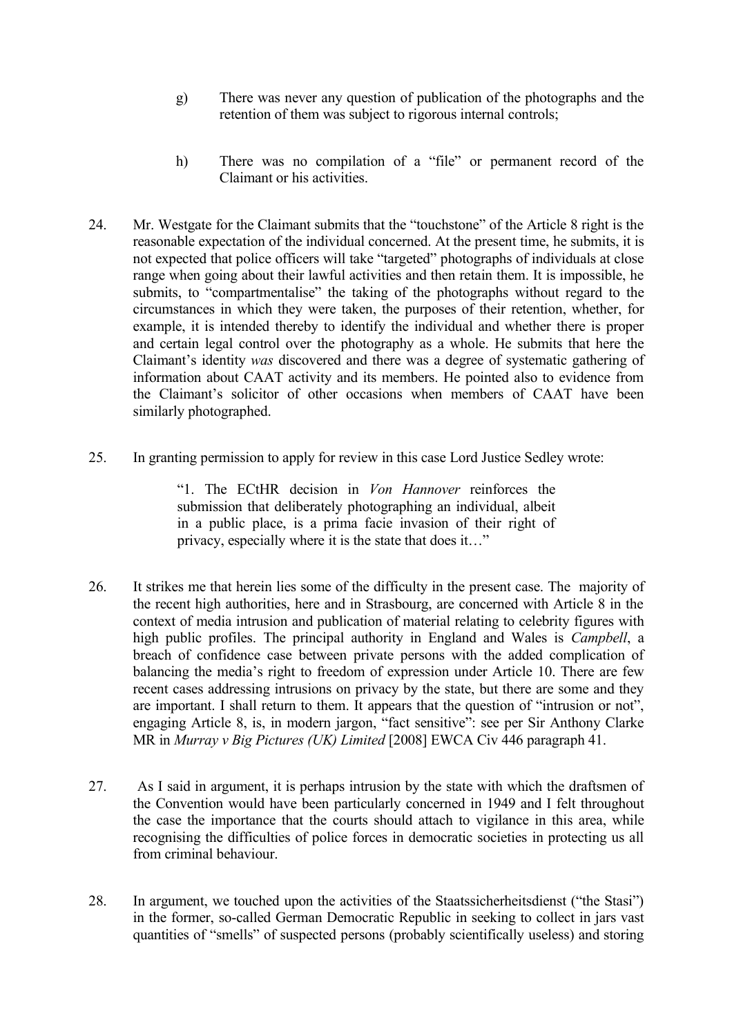- g) There was never any question of publication of the photographs and the retention of them was subject to rigorous internal controls;
- h) There was no compilation of a "file" or permanent record of the Claimant or his activities.
- 24. Mr. Westgate for the Claimant submits that the "touchstone" of the Article 8 right is the reasonable expectation of the individual concerned. At the present time, he submits, it is not expected that police officers will take "targeted" photographs of individuals at close range when going about their lawful activities and then retain them. It is impossible, he submits, to "compartmentalise" the taking of the photographs without regard to the circumstances in which they were taken, the purposes of their retention, whether, for example, it is intended thereby to identify the individual and whether there is proper and certain legal control over the photography as a whole. He submits that here the Claimant's identity *was* discovered and there was a degree of systematic gathering of information about CAAT activity and its members. He pointed also to evidence from the Claimant's solicitor of other occasions when members of CAAT have been similarly photographed.
- 25. In granting permission to apply for review in this case Lord Justice Sedley wrote:

"1. The ECtHR decision in *Von Hannover* reinforces the submission that deliberately photographing an individual, albeit in a public place, is a prima facie invasion of their right of privacy, especially where it is the state that does it…"

- 26. It strikes me that herein lies some of the difficulty in the present case. The majority of the recent high authorities, here and in Strasbourg, are concerned with Article 8 in the context of media intrusion and publication of material relating to celebrity figures with high public profiles. The principal authority in England and Wales is *Campbell*, a breach of confidence case between private persons with the added complication of balancing the media's right to freedom of expression under Article 10. There are few recent cases addressing intrusions on privacy by the state, but there are some and they are important. I shall return to them. It appears that the question of "intrusion or not", engaging Article 8, is, in modern jargon, "fact sensitive": see per Sir Anthony Clarke MR in *Murray v Big Pictures (UK) Limited* [2008] EWCA Civ 446 paragraph 41.
- 27. As I said in argument, it is perhaps intrusion by the state with which the draftsmen of the Convention would have been particularly concerned in 1949 and I felt throughout the case the importance that the courts should attach to vigilance in this area, while recognising the difficulties of police forces in democratic societies in protecting us all from criminal behaviour.
- 28. In argument, we touched upon the activities of the Staatssicherheitsdienst ("the Stasi") in the former, so-called German Democratic Republic in seeking to collect in jars vast quantities of "smells" of suspected persons (probably scientifically useless) and storing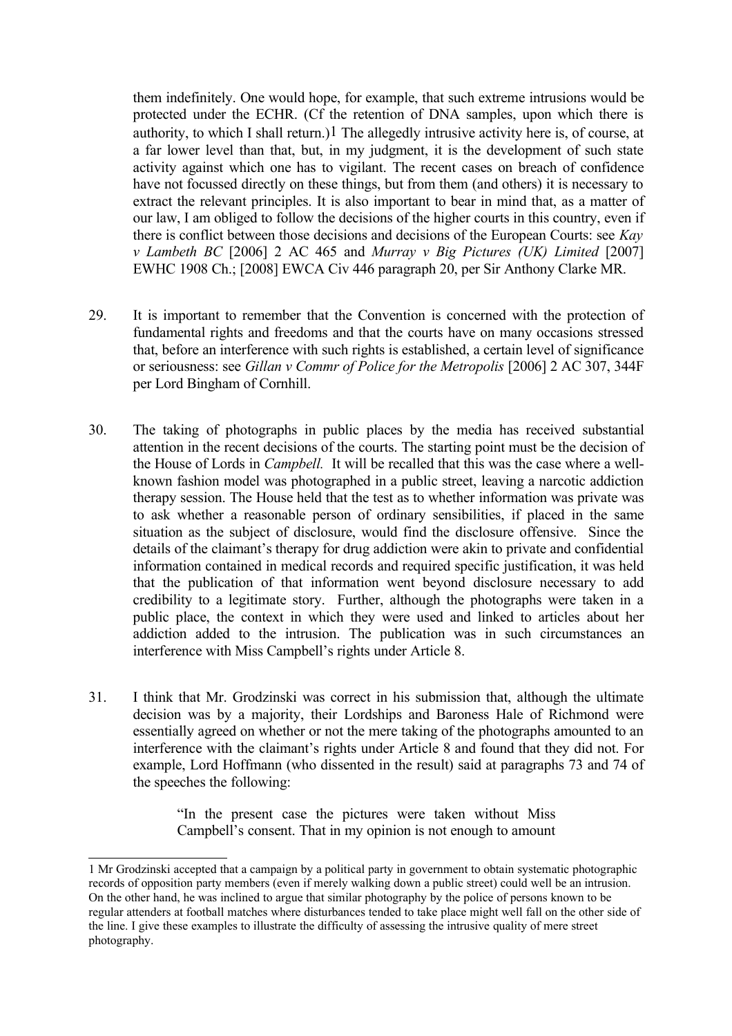them indefinitely. One would hope, for example, that such extreme intrusions would be protected under the ECHR. (Cf the retention of DNA samples, upon which there is authority, to which I shall return.[\)1](#page-7-0) The allegedly intrusive activity here is, of course, at a far lower level than that, but, in my judgment, it is the development of such state activity against which one has to vigilant. The recent cases on breach of confidence have not focussed directly on these things, but from them (and others) it is necessary to extract the relevant principles. It is also important to bear in mind that, as a matter of our law, I am obliged to follow the decisions of the higher courts in this country, even if there is conflict between those decisions and decisions of the European Courts: see *Kay v Lambeth BC* [2006] 2 AC 465 and *Murray v Big Pictures (UK) Limited* [2007] EWHC 1908 Ch.; [2008] EWCA Civ 446 paragraph 20, per Sir Anthony Clarke MR.

- 29. It is important to remember that the Convention is concerned with the protection of fundamental rights and freedoms and that the courts have on many occasions stressed that, before an interference with such rights is established, a certain level of significance or seriousness: see *Gillan v Commr of Police for the Metropolis* [2006] 2 AC 307, 344F per Lord Bingham of Cornhill.
- 30. The taking of photographs in public places by the media has received substantial attention in the recent decisions of the courts. The starting point must be the decision of the House of Lords in *Campbell.* It will be recalled that this was the case where a wellknown fashion model was photographed in a public street, leaving a narcotic addiction therapy session. The House held that the test as to whether information was private was to ask whether a reasonable person of ordinary sensibilities, if placed in the same situation as the subject of disclosure, would find the disclosure offensive. Since the details of the claimant's therapy for drug addiction were akin to private and confidential information contained in medical records and required specific justification, it was held that the publication of that information went beyond disclosure necessary to add credibility to a legitimate story. Further, although the photographs were taken in a public place, the context in which they were used and linked to articles about her addiction added to the intrusion. The publication was in such circumstances an interference with Miss Campbell's rights under Article 8.
- 31. I think that Mr. Grodzinski was correct in his submission that, although the ultimate decision was by a majority, their Lordships and Baroness Hale of Richmond were essentially agreed on whether or not the mere taking of the photographs amounted to an interference with the claimant's rights under Article 8 and found that they did not. For example, Lord Hoffmann (who dissented in the result) said at paragraphs 73 and 74 of the speeches the following:

"In the present case the pictures were taken without Miss Campbell's consent. That in my opinion is not enough to amount

<span id="page-7-0"></span><sup>1</sup> Mr Grodzinski accepted that a campaign by a political party in government to obtain systematic photographic records of opposition party members (even if merely walking down a public street) could well be an intrusion. On the other hand, he was inclined to argue that similar photography by the police of persons known to be regular attenders at football matches where disturbances tended to take place might well fall on the other side of the line. I give these examples to illustrate the difficulty of assessing the intrusive quality of mere street photography.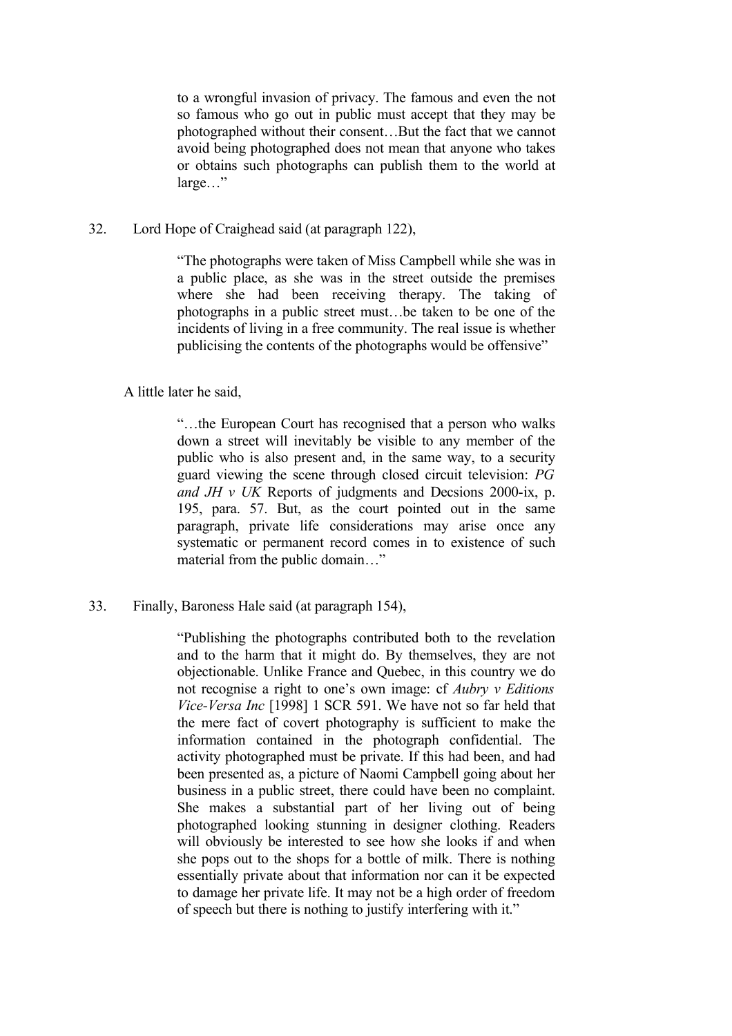to a wrongful invasion of privacy. The famous and even the not so famous who go out in public must accept that they may be photographed without their consent…But the fact that we cannot avoid being photographed does not mean that anyone who takes or obtains such photographs can publish them to the world at large…"

32. Lord Hope of Craighead said (at paragraph 122),

"The photographs were taken of Miss Campbell while she was in a public place, as she was in the street outside the premises where she had been receiving therapy. The taking of photographs in a public street must…be taken to be one of the incidents of living in a free community. The real issue is whether publicising the contents of the photographs would be offensive"

#### A little later he said,

"…the European Court has recognised that a person who walks down a street will inevitably be visible to any member of the public who is also present and, in the same way, to a security guard viewing the scene through closed circuit television: *PG and JH v UK* Reports of judgments and Decsions 2000-ix, p. 195, para. 57. But, as the court pointed out in the same paragraph, private life considerations may arise once any systematic or permanent record comes in to existence of such material from the public domain…"

33. Finally, Baroness Hale said (at paragraph 154),

"Publishing the photographs contributed both to the revelation and to the harm that it might do. By themselves, they are not objectionable. Unlike France and Quebec, in this country we do not recognise a right to one's own image: cf *Aubry v Editions Vice-Versa Inc* [1998] 1 SCR 591. We have not so far held that the mere fact of covert photography is sufficient to make the information contained in the photograph confidential. The activity photographed must be private. If this had been, and had been presented as, a picture of Naomi Campbell going about her business in a public street, there could have been no complaint. She makes a substantial part of her living out of being photographed looking stunning in designer clothing. Readers will obviously be interested to see how she looks if and when she pops out to the shops for a bottle of milk. There is nothing essentially private about that information nor can it be expected to damage her private life. It may not be a high order of freedom of speech but there is nothing to justify interfering with it."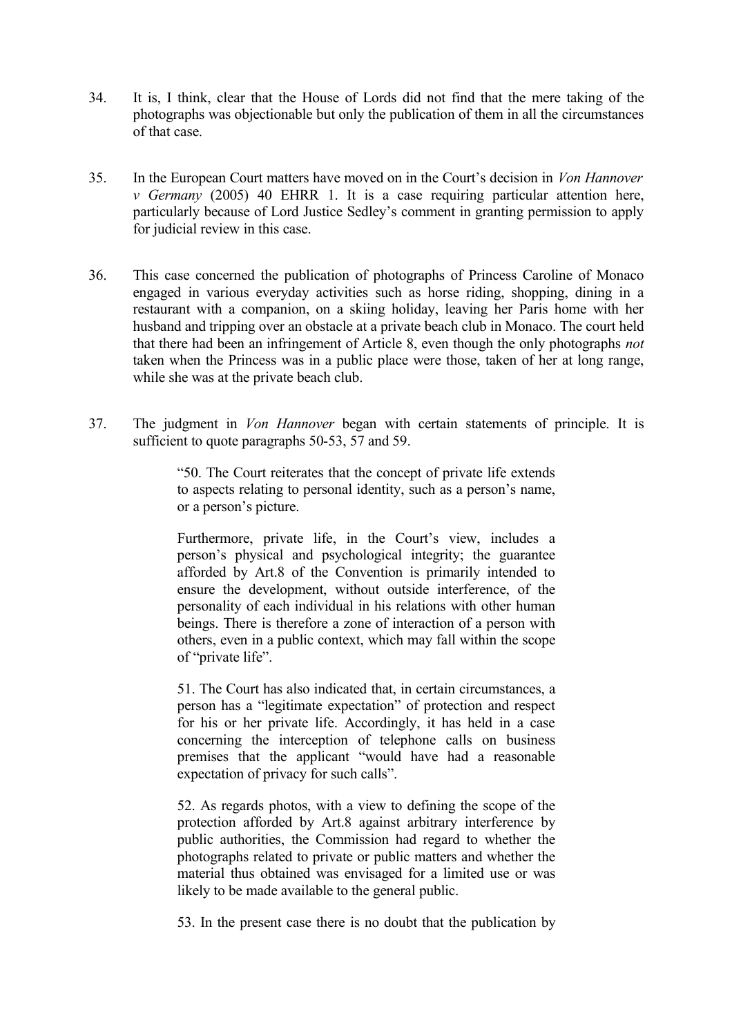- 34. It is, I think, clear that the House of Lords did not find that the mere taking of the photographs was objectionable but only the publication of them in all the circumstances of that case.
- 35. In the European Court matters have moved on in the Court's decision in *Von Hannover v Germany* (2005) 40 EHRR 1. It is a case requiring particular attention here, particularly because of Lord Justice Sedley's comment in granting permission to apply for judicial review in this case.
- 36. This case concerned the publication of photographs of Princess Caroline of Monaco engaged in various everyday activities such as horse riding, shopping, dining in a restaurant with a companion, on a skiing holiday, leaving her Paris home with her husband and tripping over an obstacle at a private beach club in Monaco. The court held that there had been an infringement of Article 8, even though the only photographs *not* taken when the Princess was in a public place were those, taken of her at long range, while she was at the private beach club.
- 37. The judgment in *Von Hannover* began with certain statements of principle. It is sufficient to quote paragraphs 50-53, 57 and 59.

"50. The Court reiterates that the concept of private life extends to aspects relating to personal identity, such as a person's name, or a person's picture.

Furthermore, private life, in the Court's view, includes a person's physical and psychological integrity; the guarantee afforded by Art.8 of the Convention is primarily intended to ensure the development, without outside interference, of the personality of each individual in his relations with other human beings. There is therefore a zone of interaction of a person with others, even in a public context, which may fall within the scope of "private life".

51. The Court has also indicated that, in certain circumstances, a person has a "legitimate expectation" of protection and respect for his or her private life. Accordingly, it has held in a case concerning the interception of telephone calls on business premises that the applicant "would have had a reasonable expectation of privacy for such calls".

52. As regards photos, with a view to defining the scope of the protection afforded by Art.8 against arbitrary interference by public authorities, the Commission had regard to whether the photographs related to private or public matters and whether the material thus obtained was envisaged for a limited use or was likely to be made available to the general public.

53. In the present case there is no doubt that the publication by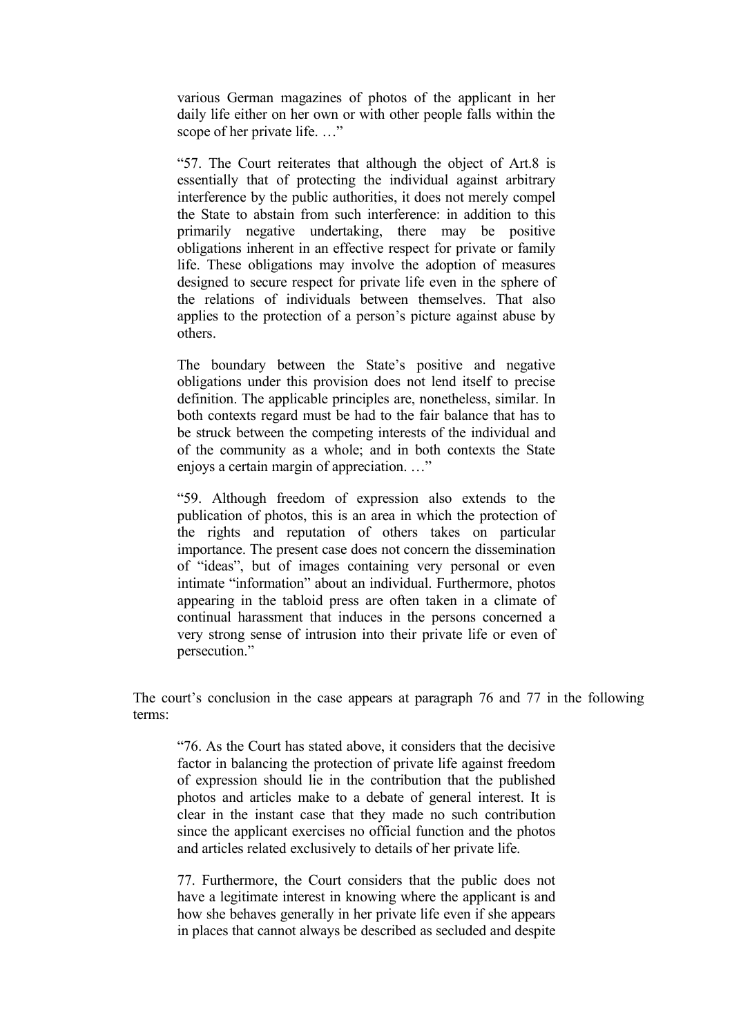various German magazines of photos of the applicant in her daily life either on her own or with other people falls within the scope of her private life. …"

"57. The Court reiterates that although the object of Art.8 is essentially that of protecting the individual against arbitrary interference by the public authorities, it does not merely compel the State to abstain from such interference: in addition to this primarily negative undertaking, there may be positive obligations inherent in an effective respect for private or family life. These obligations may involve the adoption of measures designed to secure respect for private life even in the sphere of the relations of individuals between themselves. That also applies to the protection of a person's picture against abuse by others.

The boundary between the State's positive and negative obligations under this provision does not lend itself to precise definition. The applicable principles are, nonetheless, similar. In both contexts regard must be had to the fair balance that has to be struck between the competing interests of the individual and of the community as a whole; and in both contexts the State enjoys a certain margin of appreciation. …"

"59. Although freedom of expression also extends to the publication of photos, this is an area in which the protection of the rights and reputation of others takes on particular importance. The present case does not concern the dissemination of "ideas", but of images containing very personal or even intimate "information" about an individual. Furthermore, photos appearing in the tabloid press are often taken in a climate of continual harassment that induces in the persons concerned a very strong sense of intrusion into their private life or even of persecution."

The court's conclusion in the case appears at paragraph 76 and 77 in the following terms:

"76. As the Court has stated above, it considers that the decisive factor in balancing the protection of private life against freedom of expression should lie in the contribution that the published photos and articles make to a debate of general interest. It is clear in the instant case that they made no such contribution since the applicant exercises no official function and the photos and articles related exclusively to details of her private life.

77. Furthermore, the Court considers that the public does not have a legitimate interest in knowing where the applicant is and how she behaves generally in her private life even if she appears in places that cannot always be described as secluded and despite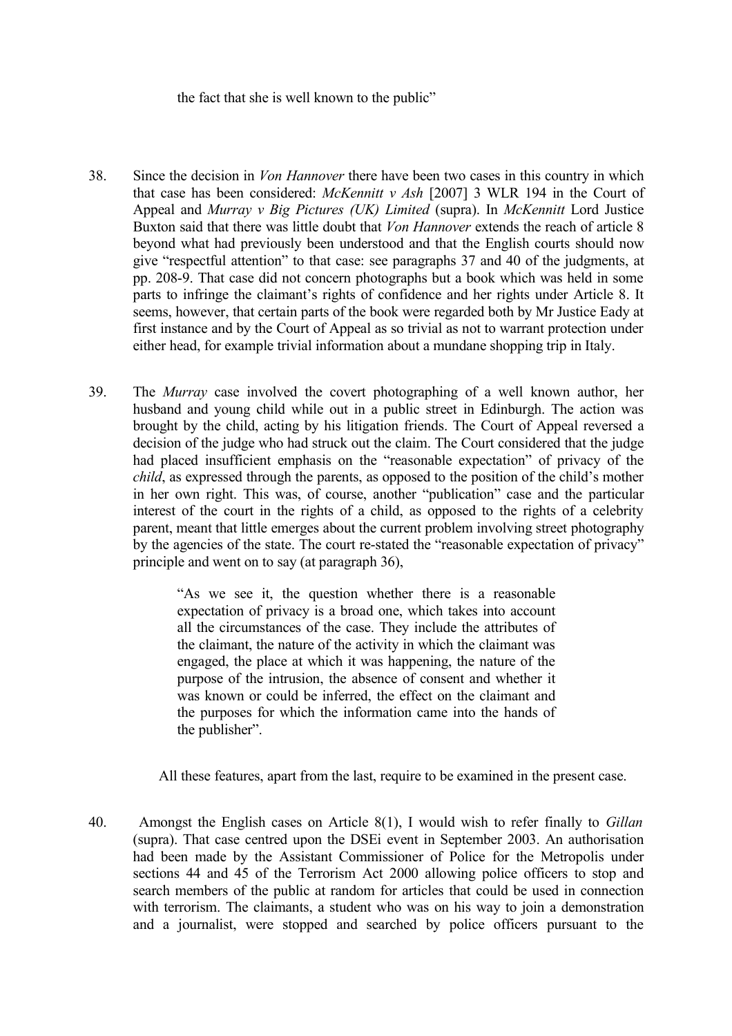#### the fact that she is well known to the public"

- 38. Since the decision in *Von Hannover* there have been two cases in this country in which that case has been considered: *McKennitt v Ash* [2007] 3 WLR 194 in the Court of Appeal and *Murray v Big Pictures (UK) Limited* (supra). In *McKennitt* Lord Justice Buxton said that there was little doubt that *Von Hannover* extends the reach of article 8 beyond what had previously been understood and that the English courts should now give "respectful attention" to that case: see paragraphs 37 and 40 of the judgments, at pp. 208-9. That case did not concern photographs but a book which was held in some parts to infringe the claimant's rights of confidence and her rights under Article 8. It seems, however, that certain parts of the book were regarded both by Mr Justice Eady at first instance and by the Court of Appeal as so trivial as not to warrant protection under either head, for example trivial information about a mundane shopping trip in Italy.
- 39. The *Murray* case involved the covert photographing of a well known author, her husband and young child while out in a public street in Edinburgh. The action was brought by the child, acting by his litigation friends. The Court of Appeal reversed a decision of the judge who had struck out the claim. The Court considered that the judge had placed insufficient emphasis on the "reasonable expectation" of privacy of the *child*, as expressed through the parents, as opposed to the position of the child's mother in her own right. This was, of course, another "publication" case and the particular interest of the court in the rights of a child, as opposed to the rights of a celebrity parent, meant that little emerges about the current problem involving street photography by the agencies of the state. The court re-stated the "reasonable expectation of privacy" principle and went on to say (at paragraph 36),

"As we see it, the question whether there is a reasonable expectation of privacy is a broad one, which takes into account all the circumstances of the case. They include the attributes of the claimant, the nature of the activity in which the claimant was engaged, the place at which it was happening, the nature of the purpose of the intrusion, the absence of consent and whether it was known or could be inferred, the effect on the claimant and the purposes for which the information came into the hands of the publisher".

All these features, apart from the last, require to be examined in the present case.

40. Amongst the English cases on Article 8(1), I would wish to refer finally to *Gillan* (supra). That case centred upon the DSEi event in September 2003. An authorisation had been made by the Assistant Commissioner of Police for the Metropolis under sections 44 and 45 of the Terrorism Act 2000 allowing police officers to stop and search members of the public at random for articles that could be used in connection with terrorism. The claimants, a student who was on his way to join a demonstration and a journalist, were stopped and searched by police officers pursuant to the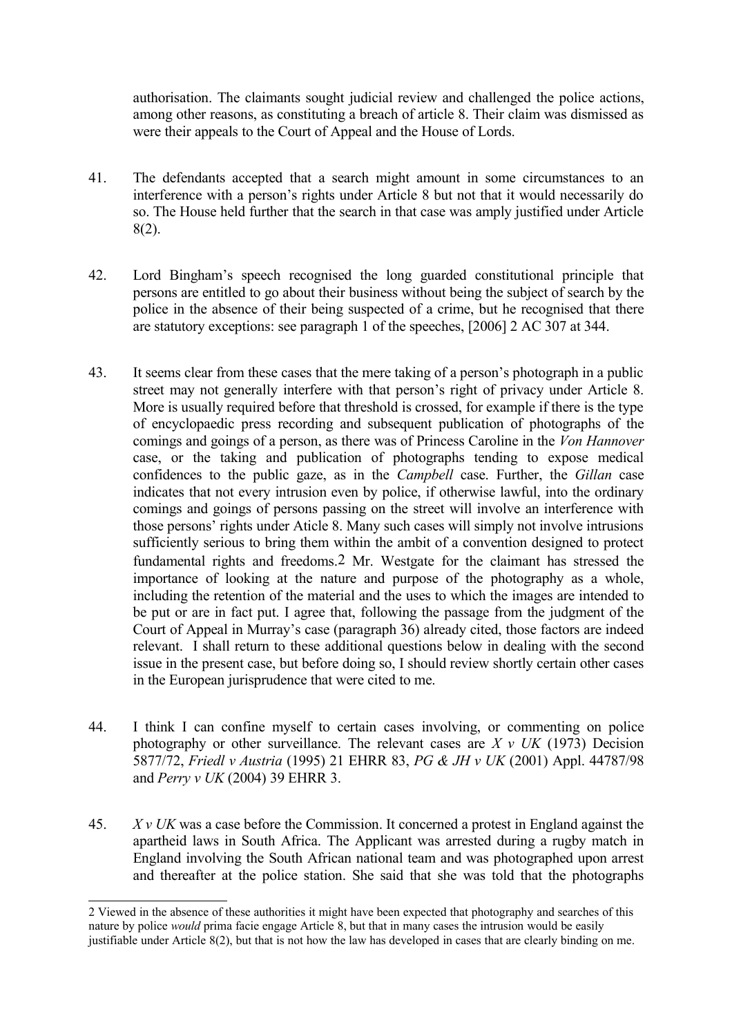authorisation. The claimants sought judicial review and challenged the police actions, among other reasons, as constituting a breach of article 8. Their claim was dismissed as were their appeals to the Court of Appeal and the House of Lords.

- 41. The defendants accepted that a search might amount in some circumstances to an interference with a person's rights under Article 8 but not that it would necessarily do so. The House held further that the search in that case was amply justified under Article 8(2).
- 42. Lord Bingham's speech recognised the long guarded constitutional principle that persons are entitled to go about their business without being the subject of search by the police in the absence of their being suspected of a crime, but he recognised that there are statutory exceptions: see paragraph 1 of the speeches, [2006] 2 AC 307 at 344.
- 43. It seems clear from these cases that the mere taking of a person's photograph in a public street may not generally interfere with that person's right of privacy under Article 8. More is usually required before that threshold is crossed, for example if there is the type of encyclopaedic press recording and subsequent publication of photographs of the comings and goings of a person, as there was of Princess Caroline in the *Von Hannover* case, or the taking and publication of photographs tending to expose medical confidences to the public gaze, as in the *Campbell* case. Further, the *Gillan* case indicates that not every intrusion even by police, if otherwise lawful, into the ordinary comings and goings of persons passing on the street will involve an interference with those persons' rights under Aticle 8. Many such cases will simply not involve intrusions sufficiently serious to bring them within the ambit of a convention designed to protect fundamental rights and freedoms[.2](#page-12-0) Mr. Westgate for the claimant has stressed the importance of looking at the nature and purpose of the photography as a whole, including the retention of the material and the uses to which the images are intended to be put or are in fact put. I agree that, following the passage from the judgment of the Court of Appeal in Murray's case (paragraph 36) already cited, those factors are indeed relevant. I shall return to these additional questions below in dealing with the second issue in the present case, but before doing so, I should review shortly certain other cases in the European jurisprudence that were cited to me.
- 44. I think I can confine myself to certain cases involving, or commenting on police photography or other surveillance. The relevant cases are *X v UK* (1973) Decision 5877/72, *Friedl v Austria* (1995) 21 EHRR 83, *PG & JH v UK* (2001) Appl. 44787/98 and *Perry v UK* (2004) 39 EHRR 3.
- 45. *X v UK* was a case before the Commission. It concerned a protest in England against the apartheid laws in South Africa. The Applicant was arrested during a rugby match in England involving the South African national team and was photographed upon arrest and thereafter at the police station. She said that she was told that the photographs

<span id="page-12-0"></span><sup>2</sup> Viewed in the absence of these authorities it might have been expected that photography and searches of this nature by police *would* prima facie engage Article 8, but that in many cases the intrusion would be easily justifiable under Article 8(2), but that is not how the law has developed in cases that are clearly binding on me.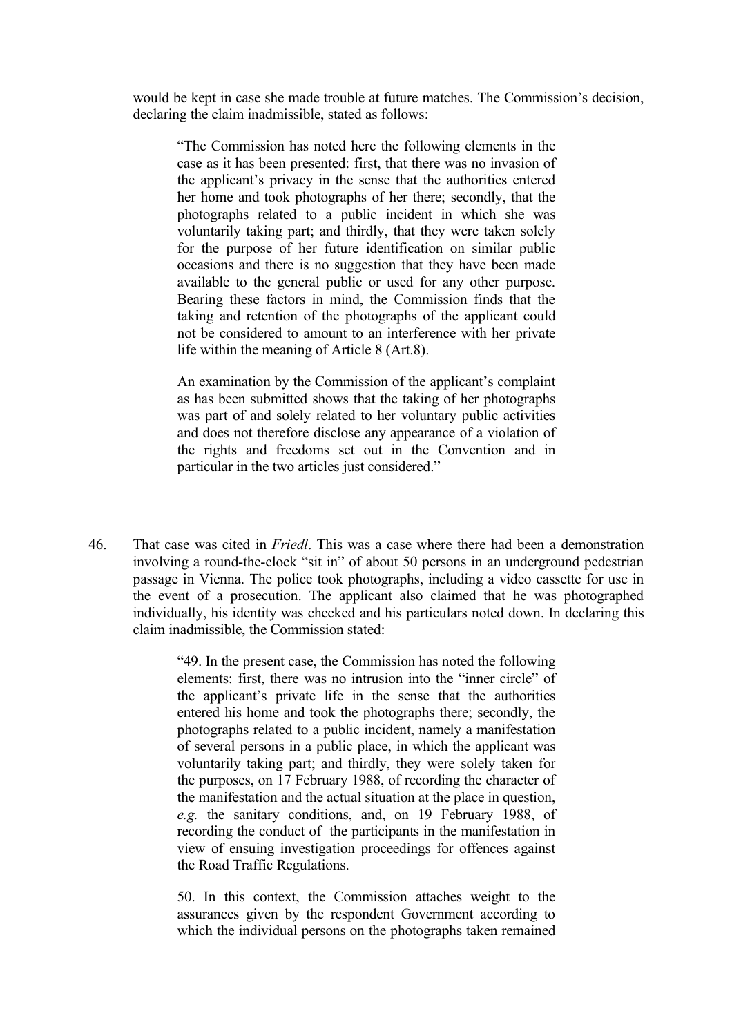would be kept in case she made trouble at future matches. The Commission's decision, declaring the claim inadmissible, stated as follows:

"The Commission has noted here the following elements in the case as it has been presented: first, that there was no invasion of the applicant's privacy in the sense that the authorities entered her home and took photographs of her there; secondly, that the photographs related to a public incident in which she was voluntarily taking part; and thirdly, that they were taken solely for the purpose of her future identification on similar public occasions and there is no suggestion that they have been made available to the general public or used for any other purpose. Bearing these factors in mind, the Commission finds that the taking and retention of the photographs of the applicant could not be considered to amount to an interference with her private life within the meaning of Article 8 (Art.8).

An examination by the Commission of the applicant's complaint as has been submitted shows that the taking of her photographs was part of and solely related to her voluntary public activities and does not therefore disclose any appearance of a violation of the rights and freedoms set out in the Convention and in particular in the two articles just considered."

46. That case was cited in *Friedl*. This was a case where there had been a demonstration involving a round-the-clock "sit in" of about 50 persons in an underground pedestrian passage in Vienna. The police took photographs, including a video cassette for use in the event of a prosecution. The applicant also claimed that he was photographed individually, his identity was checked and his particulars noted down. In declaring this claim inadmissible, the Commission stated:

> "49. In the present case, the Commission has noted the following elements: first, there was no intrusion into the "inner circle" of the applicant's private life in the sense that the authorities entered his home and took the photographs there; secondly, the photographs related to a public incident, namely a manifestation of several persons in a public place, in which the applicant was voluntarily taking part; and thirdly, they were solely taken for the purposes, on 17 February 1988, of recording the character of the manifestation and the actual situation at the place in question, *e.g.* the sanitary conditions, and, on 19 February 1988, of recording the conduct of the participants in the manifestation in view of ensuing investigation proceedings for offences against the Road Traffic Regulations.

> 50. In this context, the Commission attaches weight to the assurances given by the respondent Government according to which the individual persons on the photographs taken remained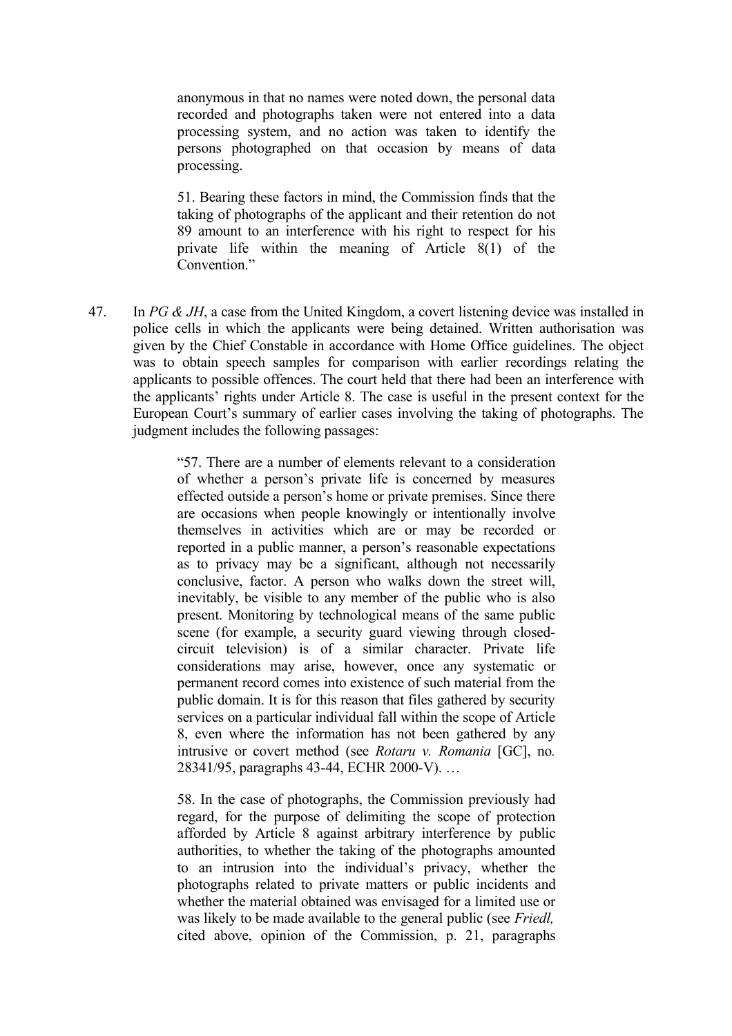anonymous in that no names were noted down, the personal data recorded and photographs taken were not entered into a data processing system, and no action was taken to identify the persons photographed on that occasion by means of data processing.

51. Bearing these factors in mind, the Commission finds that the taking of photographs of the applicant and their retention do not 89 amount to an interference with his right to respect for his private life within the meaning of Article 8(1) of the Convention<sup>"</sup>

47. In *PG & JH*, a case from the United Kingdom, a covert listening device was installed in police cells in which the applicants were being detained. Written authorisation was given by the Chief Constable in accordance with Home Office guidelines. The object was to obtain speech samples for comparison with earlier recordings relating the applicants to possible offences. The court held that there had been an interference with the applicants' rights under Article 8. The case is useful in the present context for the European Court's summary of earlier cases involving the taking of photographs. The judgment includes the following passages:

> "57. There are a number of elements relevant to a consideration of whether a person's private life is concerned by measures effected outside a person's home or private premises. Since there are occasions when people knowingly or intentionally involve themselves in activities which are or may be recorded or reported in a public manner, a person's reasonable expectations as to privacy may be a significant, although not necessarily conclusive, factor. A person who walks down the street will, inevitably, be visible to any member of the public who is also present. Monitoring by technological means of the same public scene (for example, a security guard viewing through closedcircuit television) is of a similar character. Private life considerations may arise, however, once any systematic or permanent record comes into existence of such material from the public domain. It is for this reason that files gathered by security services on a particular individual fall within the scope of Article 8, even where the information has not been gathered by any intrusive or covert method (see *Rotaru v. Romania* [GC], no*.* 28341/95, paragraphs 43-44, ECHR 2000-V). …

> 58. In the case of photographs, the Commission previously had regard, for the purpose of delimiting the scope of protection afforded by Article 8 against arbitrary interference by public authorities, to whether the taking of the photographs amounted to an intrusion into the individual's privacy, whether the photographs related to private matters or public incidents and whether the material obtained was envisaged for a limited use or was likely to be made available to the general public (see *Friedl,* cited above, opinion of the Commission, p. 21, paragraphs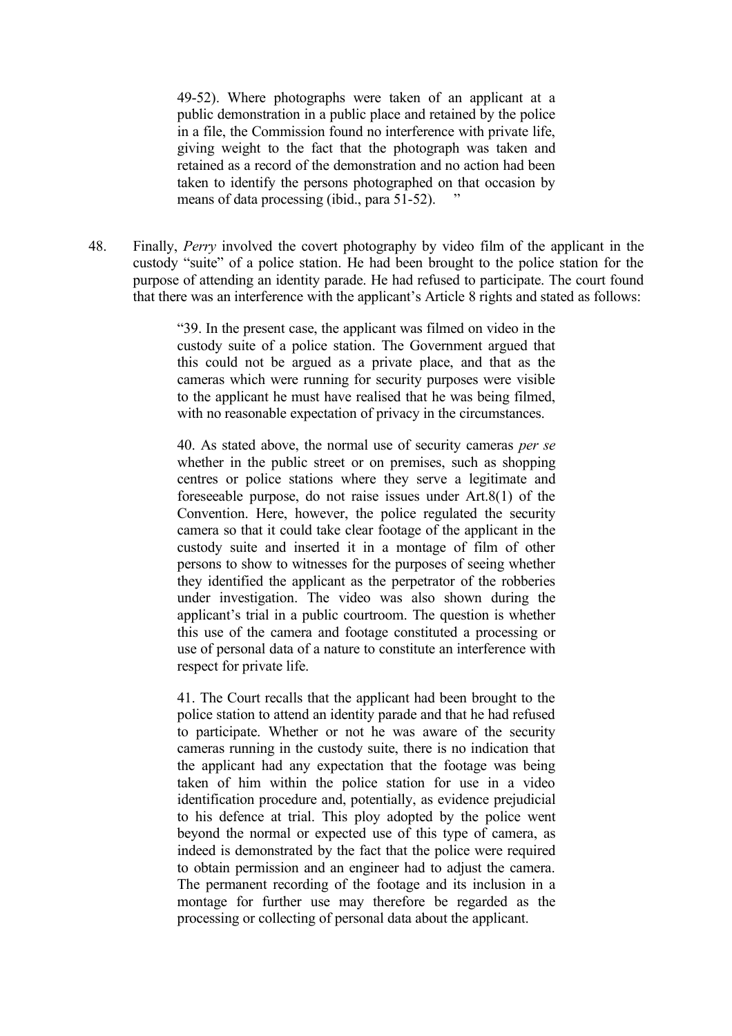49-52). Where photographs were taken of an applicant at a public demonstration in a public place and retained by the police in a file, the Commission found no interference with private life, giving weight to the fact that the photograph was taken and retained as a record of the demonstration and no action had been taken to identify the persons photographed on that occasion by means of data processing (ibid., para 51-52).

48. Finally, *Perry* involved the covert photography by video film of the applicant in the custody "suite" of a police station. He had been brought to the police station for the purpose of attending an identity parade. He had refused to participate. The court found that there was an interference with the applicant's Article 8 rights and stated as follows:

> "39. In the present case, the applicant was filmed on video in the custody suite of a police station. The Government argued that this could not be argued as a private place, and that as the cameras which were running for security purposes were visible to the applicant he must have realised that he was being filmed, with no reasonable expectation of privacy in the circumstances.

> 40. As stated above, the normal use of security cameras *per se* whether in the public street or on premises, such as shopping centres or police stations where they serve a legitimate and foreseeable purpose, do not raise issues under Art.8(1) of the Convention. Here, however, the police regulated the security camera so that it could take clear footage of the applicant in the custody suite and inserted it in a montage of film of other persons to show to witnesses for the purposes of seeing whether they identified the applicant as the perpetrator of the robberies under investigation. The video was also shown during the applicant's trial in a public courtroom. The question is whether this use of the camera and footage constituted a processing or use of personal data of a nature to constitute an interference with respect for private life.

> 41. The Court recalls that the applicant had been brought to the police station to attend an identity parade and that he had refused to participate. Whether or not he was aware of the security cameras running in the custody suite, there is no indication that the applicant had any expectation that the footage was being taken of him within the police station for use in a video identification procedure and, potentially, as evidence prejudicial to his defence at trial. This ploy adopted by the police went beyond the normal or expected use of this type of camera, as indeed is demonstrated by the fact that the police were required to obtain permission and an engineer had to adjust the camera. The permanent recording of the footage and its inclusion in a montage for further use may therefore be regarded as the processing or collecting of personal data about the applicant.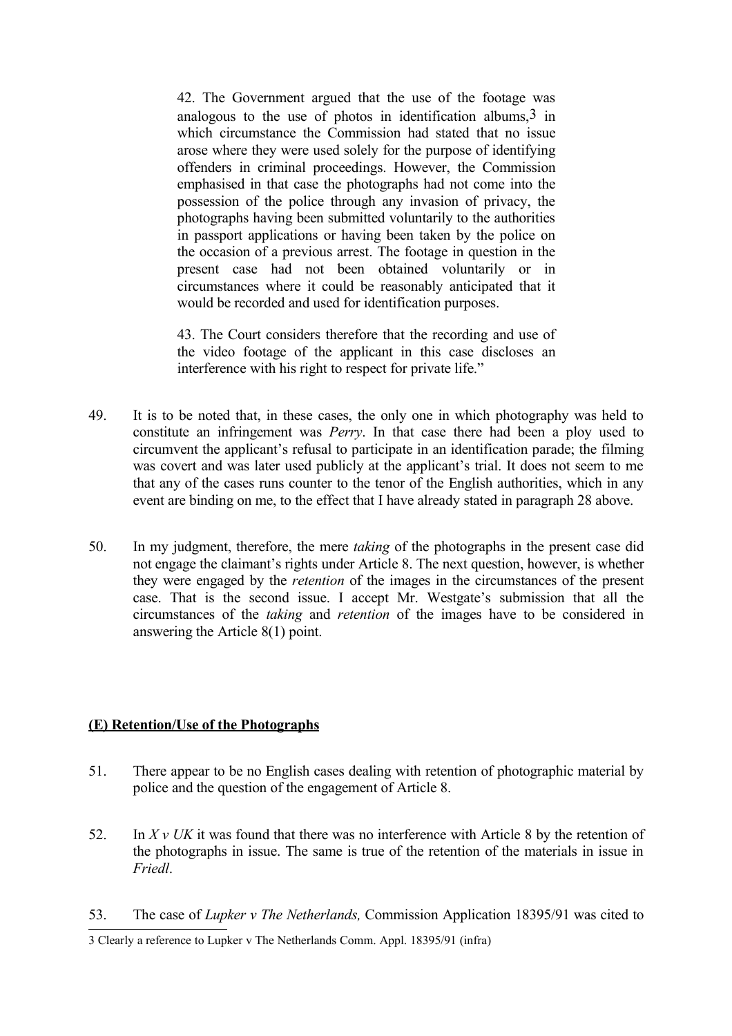42. The Government argued that the use of the footage was analogous to the use of photos in identification albums[,3](#page-16-0) in which circumstance the Commission had stated that no issue arose where they were used solely for the purpose of identifying offenders in criminal proceedings. However, the Commission emphasised in that case the photographs had not come into the possession of the police through any invasion of privacy, the photographs having been submitted voluntarily to the authorities in passport applications or having been taken by the police on the occasion of a previous arrest. The footage in question in the present case had not been obtained voluntarily or in circumstances where it could be reasonably anticipated that it would be recorded and used for identification purposes.

43. The Court considers therefore that the recording and use of the video footage of the applicant in this case discloses an interference with his right to respect for private life."

- 49. It is to be noted that, in these cases, the only one in which photography was held to constitute an infringement was *Perry*. In that case there had been a ploy used to circumvent the applicant's refusal to participate in an identification parade; the filming was covert and was later used publicly at the applicant's trial. It does not seem to me that any of the cases runs counter to the tenor of the English authorities, which in any event are binding on me, to the effect that I have already stated in paragraph 28 above.
- 50. In my judgment, therefore, the mere *taking* of the photographs in the present case did not engage the claimant's rights under Article 8. The next question, however, is whether they were engaged by the *retention* of the images in the circumstances of the present case. That is the second issue. I accept Mr. Westgate's submission that all the circumstances of the *taking* and *retention* of the images have to be considered in answering the Article 8(1) point.

#### **(E) Retention/Use of the Photographs**

- 51. There appear to be no English cases dealing with retention of photographic material by police and the question of the engagement of Article 8.
- 52. In *X v UK* it was found that there was no interference with Article 8 by the retention of the photographs in issue. The same is true of the retention of the materials in issue in *Friedl*.
- 53. The case of *Lupker v The Netherlands,* Commission Application 18395/91 was cited to

<span id="page-16-0"></span><sup>3</sup> Clearly a reference to Lupker v The Netherlands Comm. Appl. 18395/91 (infra)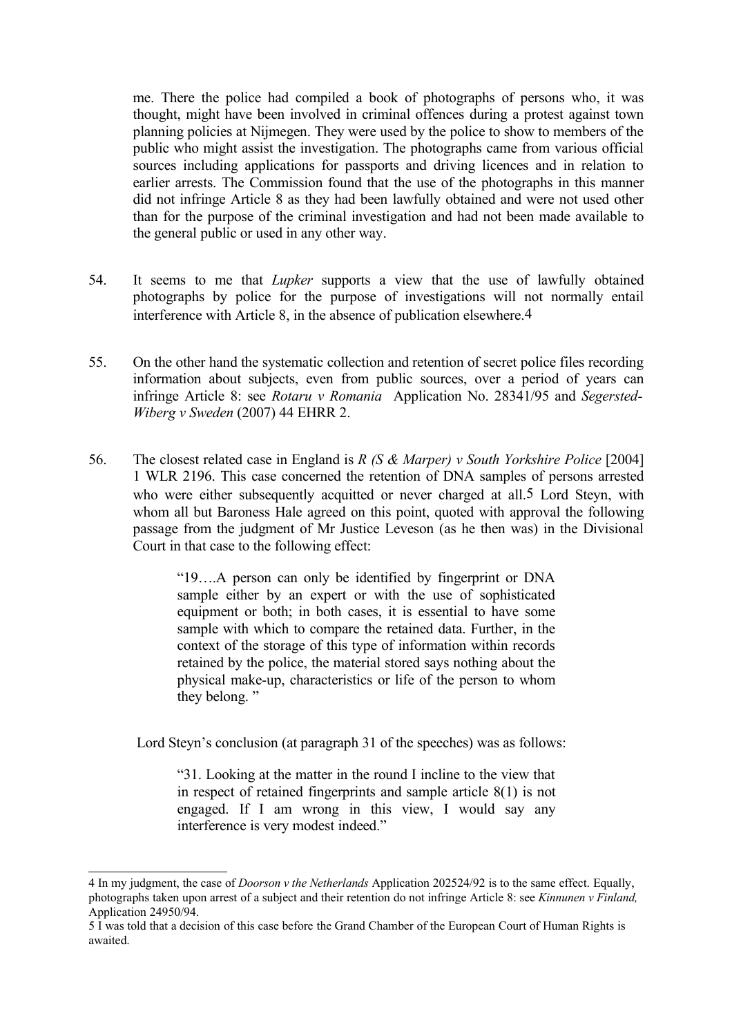me. There the police had compiled a book of photographs of persons who, it was thought, might have been involved in criminal offences during a protest against town planning policies at Nijmegen. They were used by the police to show to members of the public who might assist the investigation. The photographs came from various official sources including applications for passports and driving licences and in relation to earlier arrests. The Commission found that the use of the photographs in this manner did not infringe Article 8 as they had been lawfully obtained and were not used other than for the purpose of the criminal investigation and had not been made available to the general public or used in any other way.

- 54. It seems to me that *Lupker* supports a view that the use of lawfully obtained photographs by police for the purpose of investigations will not normally entail interference with Article 8, in the absence of publication elsewhere[.4](#page-17-0)
- 55. On the other hand the systematic collection and retention of secret police files recording information about subjects, even from public sources, over a period of years can infringe Article 8: see *Rotaru v Romania* Application No. 28341/95 and *Segersted-Wiberg v Sweden* (2007) 44 EHRR 2.
- 56. The closest related case in England is *R (S & Marper) v South Yorkshire Police* [2004] 1 WLR 2196. This case concerned the retention of DNA samples of persons arrested who were either subsequently acquitted or never charged at all.<sup>5</sup> Lord Steyn, with whom all but Baroness Hale agreed on this point, quoted with approval the following passage from the judgment of Mr Justice Leveson (as he then was) in the Divisional Court in that case to the following effect:

"19….A person can only be identified by fingerprint or DNA sample either by an expert or with the use of sophisticated equipment or both; in both cases, it is essential to have some sample with which to compare the retained data. Further, in the context of the storage of this type of information within records retained by the police, the material stored says nothing about the physical make-up, characteristics or life of the person to whom they belong."

Lord Steyn's conclusion (at paragraph 31 of the speeches) was as follows:

"31. Looking at the matter in the round I incline to the view that in respect of retained fingerprints and sample article 8(1) is not engaged. If I am wrong in this view, I would say any interference is very modest indeed."

<span id="page-17-0"></span><sup>4</sup> In my judgment, the case of *Doorson v the Netherlands* Application 202524/92 is to the same effect. Equally, photographs taken upon arrest of a subject and their retention do not infringe Article 8: see *Kinnunen v Finland,* Application 24950/94.

<span id="page-17-1"></span><sup>5</sup> I was told that a decision of this case before the Grand Chamber of the European Court of Human Rights is awaited.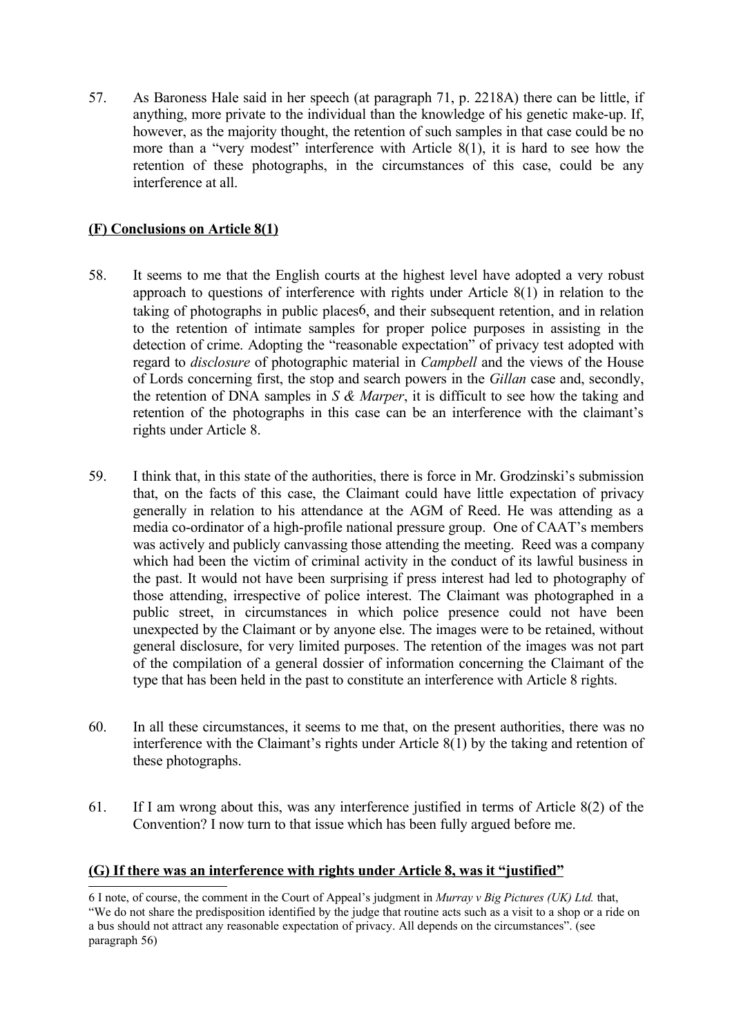57. As Baroness Hale said in her speech (at paragraph 71, p. 2218A) there can be little, if anything, more private to the individual than the knowledge of his genetic make-up. If, however, as the majority thought, the retention of such samples in that case could be no more than a "very modest" interference with Article 8(1), it is hard to see how the retention of these photographs, in the circumstances of this case, could be any interference at all.

## **(F) Conclusions on Article 8(1)**

- 58. It seems to me that the English courts at the highest level have adopted a very robust approach to questions of interference with rights under Article 8(1) in relation to the taking of photographs in public place[s6,](#page-18-0) and their subsequent retention, and in relation to the retention of intimate samples for proper police purposes in assisting in the detection of crime. Adopting the "reasonable expectation" of privacy test adopted with regard to *disclosure* of photographic material in *Campbell* and the views of the House of Lords concerning first, the stop and search powers in the *Gillan* case and, secondly, the retention of DNA samples in *S & Marper*, it is difficult to see how the taking and retention of the photographs in this case can be an interference with the claimant's rights under Article 8.
- 59. I think that, in this state of the authorities, there is force in Mr. Grodzinski's submission that, on the facts of this case, the Claimant could have little expectation of privacy generally in relation to his attendance at the AGM of Reed. He was attending as a media co-ordinator of a high-profile national pressure group. One of CAAT's members was actively and publicly canvassing those attending the meeting. Reed was a company which had been the victim of criminal activity in the conduct of its lawful business in the past. It would not have been surprising if press interest had led to photography of those attending, irrespective of police interest. The Claimant was photographed in a public street, in circumstances in which police presence could not have been unexpected by the Claimant or by anyone else. The images were to be retained, without general disclosure, for very limited purposes. The retention of the images was not part of the compilation of a general dossier of information concerning the Claimant of the type that has been held in the past to constitute an interference with Article 8 rights.
- 60. In all these circumstances, it seems to me that, on the present authorities, there was no interference with the Claimant's rights under Article 8(1) by the taking and retention of these photographs.
- 61. If I am wrong about this, was any interference justified in terms of Article 8(2) of the Convention? I now turn to that issue which has been fully argued before me.

## **(G) If there was an interference with rights under Article 8, was it "justified"**

<span id="page-18-0"></span><sup>6</sup> I note, of course, the comment in the Court of Appeal's judgment in *Murray v Big Pictures (UK) Ltd.* that, "We do not share the predisposition identified by the judge that routine acts such as a visit to a shop or a ride on a bus should not attract any reasonable expectation of privacy. All depends on the circumstances". (see paragraph 56)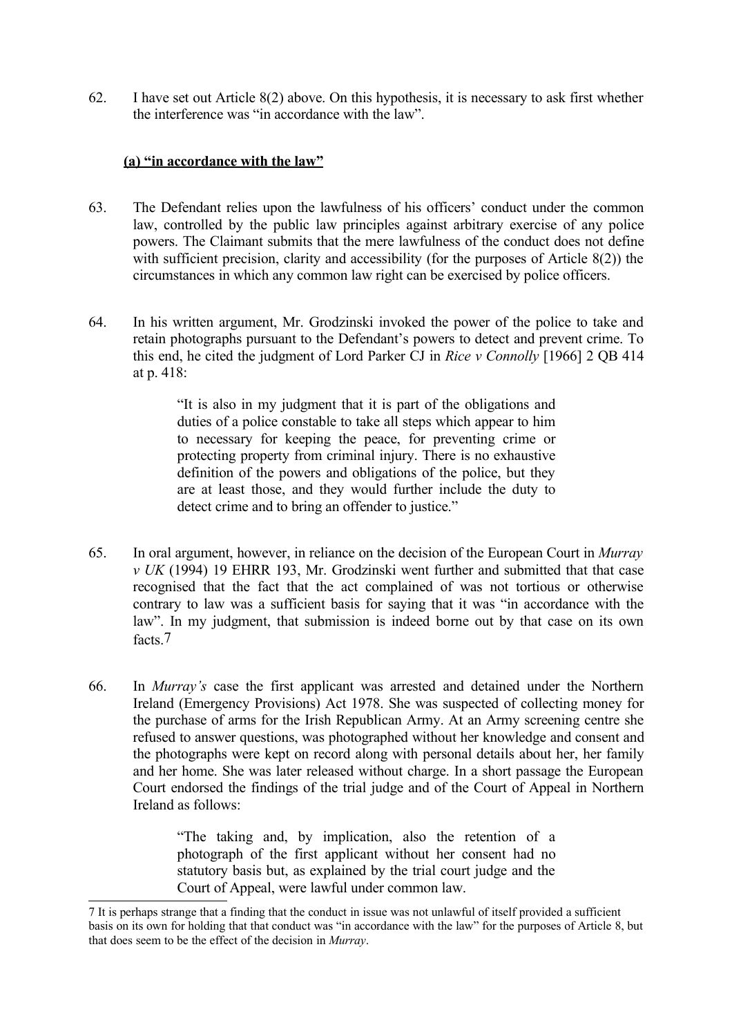62. I have set out Article 8(2) above. On this hypothesis, it is necessary to ask first whether the interference was "in accordance with the law".

#### **(a) "in accordance with the law"**

- 63. The Defendant relies upon the lawfulness of his officers' conduct under the common law, controlled by the public law principles against arbitrary exercise of any police powers. The Claimant submits that the mere lawfulness of the conduct does not define with sufficient precision, clarity and accessibility (for the purposes of Article 8(2)) the circumstances in which any common law right can be exercised by police officers.
- 64. In his written argument, Mr. Grodzinski invoked the power of the police to take and retain photographs pursuant to the Defendant's powers to detect and prevent crime. To this end, he cited the judgment of Lord Parker CJ in *Rice v Connolly* [1966] 2 QB 414 at p. 418:

"It is also in my judgment that it is part of the obligations and duties of a police constable to take all steps which appear to him to necessary for keeping the peace, for preventing crime or protecting property from criminal injury. There is no exhaustive definition of the powers and obligations of the police, but they are at least those, and they would further include the duty to detect crime and to bring an offender to justice."

- 65. In oral argument, however, in reliance on the decision of the European Court in *Murray v UK* (1994) 19 EHRR 193, Mr. Grodzinski went further and submitted that that case recognised that the fact that the act complained of was not tortious or otherwise contrary to law was a sufficient basis for saying that it was "in accordance with the law". In my judgment, that submission is indeed borne out by that case on its own facts.<sup>7</sup>
- 66. In *Murray's* case the first applicant was arrested and detained under the Northern Ireland (Emergency Provisions) Act 1978. She was suspected of collecting money for the purchase of arms for the Irish Republican Army. At an Army screening centre she refused to answer questions, was photographed without her knowledge and consent and the photographs were kept on record along with personal details about her, her family and her home. She was later released without charge. In a short passage the European Court endorsed the findings of the trial judge and of the Court of Appeal in Northern Ireland as follows:

"The taking and, by implication, also the retention of a photograph of the first applicant without her consent had no statutory basis but, as explained by the trial court judge and the Court of Appeal, were lawful under common law.

<span id="page-19-0"></span><sup>7</sup> It is perhaps strange that a finding that the conduct in issue was not unlawful of itself provided a sufficient basis on its own for holding that that conduct was "in accordance with the law" for the purposes of Article 8, but that does seem to be the effect of the decision in *Murray*.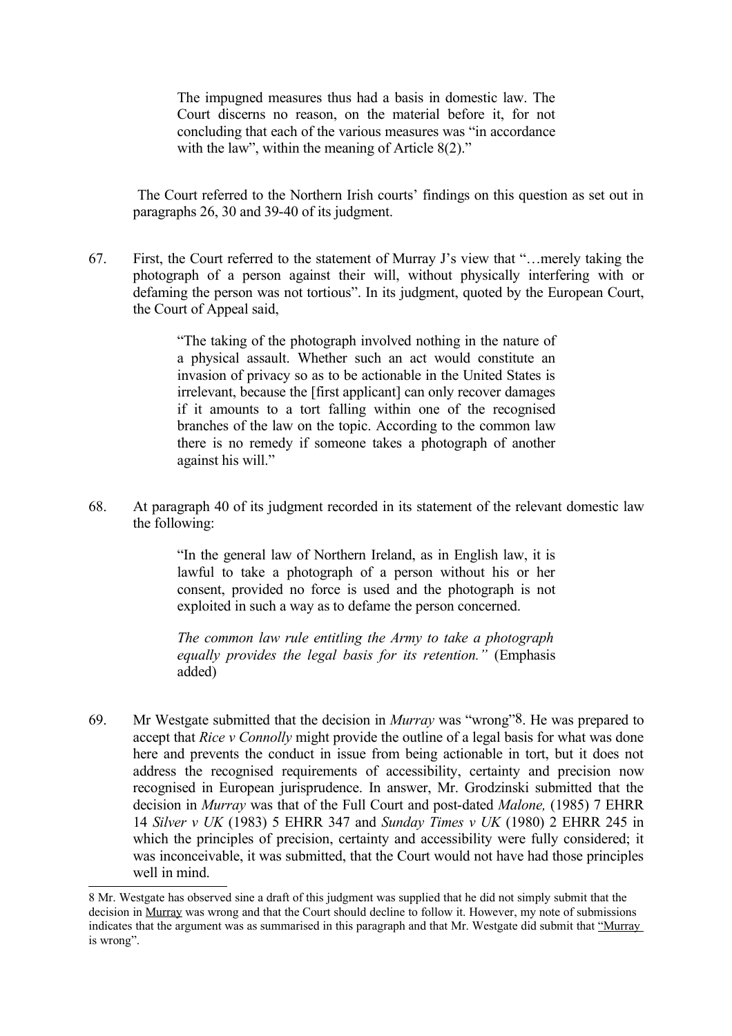The impugned measures thus had a basis in domestic law. The Court discerns no reason, on the material before it, for not concluding that each of the various measures was "in accordance with the law", within the meaning of Article 8(2)."

 The Court referred to the Northern Irish courts' findings on this question as set out in paragraphs 26, 30 and 39-40 of its judgment.

67. First, the Court referred to the statement of Murray J's view that "…merely taking the photograph of a person against their will, without physically interfering with or defaming the person was not tortious". In its judgment, quoted by the European Court, the Court of Appeal said,

> "The taking of the photograph involved nothing in the nature of a physical assault. Whether such an act would constitute an invasion of privacy so as to be actionable in the United States is irrelevant, because the [first applicant] can only recover damages if it amounts to a tort falling within one of the recognised branches of the law on the topic. According to the common law there is no remedy if someone takes a photograph of another against his will."

68. At paragraph 40 of its judgment recorded in its statement of the relevant domestic law the following:

> "In the general law of Northern Ireland, as in English law, it is lawful to take a photograph of a person without his or her consent, provided no force is used and the photograph is not exploited in such a way as to defame the person concerned.

> *The common law rule entitling the Army to take a photograph equally provides the legal basis for its retention."* (Emphasis added)

69. Mr Westgate submitted that the decision in *Murray* was "wrong["8.](#page-20-0) He was prepared to accept that *Rice v Connolly* might provide the outline of a legal basis for what was done here and prevents the conduct in issue from being actionable in tort, but it does not address the recognised requirements of accessibility, certainty and precision now recognised in European jurisprudence. In answer, Mr. Grodzinski submitted that the decision in *Murray* was that of the Full Court and post-dated *Malone,* (1985) 7 EHRR 14 *Silver v UK* (1983) 5 EHRR 347 and *Sunday Times v UK* (1980) 2 EHRR 245 in which the principles of precision, certainty and accessibility were fully considered; it was inconceivable, it was submitted, that the Court would not have had those principles well in mind.

<span id="page-20-0"></span><sup>8</sup> Mr. Westgate has observed sine a draft of this judgment was supplied that he did not simply submit that the decision in Murray was wrong and that the Court should decline to follow it. However, my note of submissions indicates that the argument was as summarised in this paragraph and that Mr. Westgate did submit that "Murray is wrong".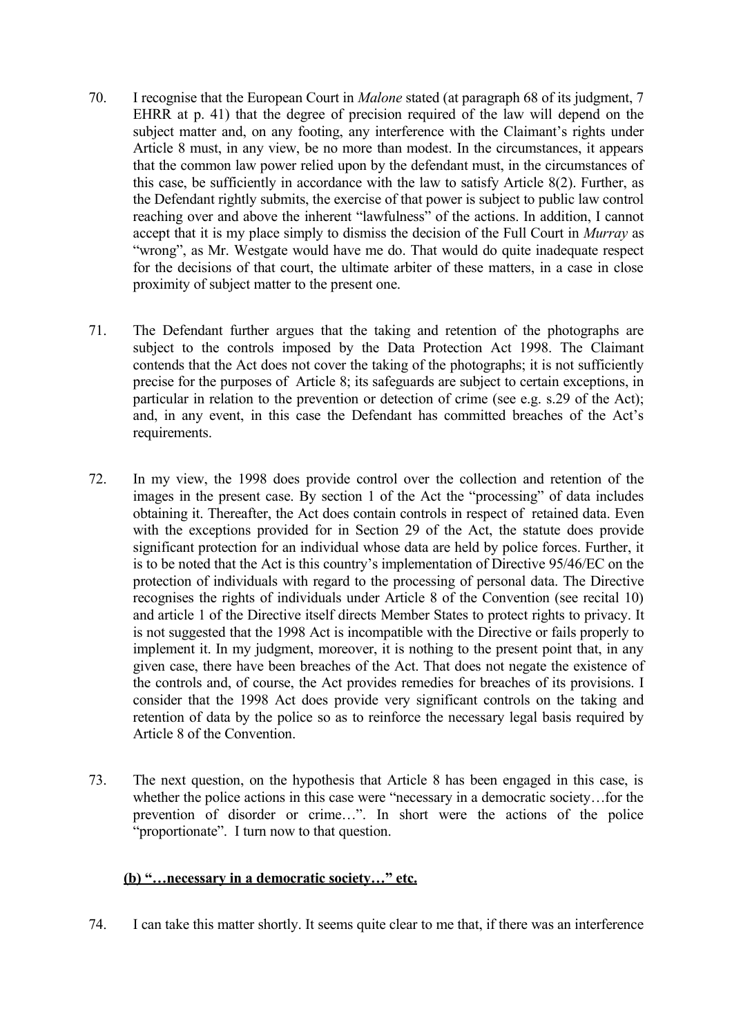- 70. I recognise that the European Court in *Malone* stated (at paragraph 68 of its judgment, 7 EHRR at p. 41) that the degree of precision required of the law will depend on the subject matter and, on any footing, any interference with the Claimant's rights under Article 8 must, in any view, be no more than modest. In the circumstances, it appears that the common law power relied upon by the defendant must, in the circumstances of this case, be sufficiently in accordance with the law to satisfy Article 8(2). Further, as the Defendant rightly submits, the exercise of that power is subject to public law control reaching over and above the inherent "lawfulness" of the actions. In addition, I cannot accept that it is my place simply to dismiss the decision of the Full Court in *Murray* as "wrong", as Mr. Westgate would have me do. That would do quite inadequate respect for the decisions of that court, the ultimate arbiter of these matters, in a case in close proximity of subject matter to the present one.
- 71. The Defendant further argues that the taking and retention of the photographs are subject to the controls imposed by the Data Protection Act 1998. The Claimant contends that the Act does not cover the taking of the photographs; it is not sufficiently precise for the purposes of Article 8; its safeguards are subject to certain exceptions, in particular in relation to the prevention or detection of crime (see e.g. s.29 of the Act); and, in any event, in this case the Defendant has committed breaches of the Act's requirements.
- 72. In my view, the 1998 does provide control over the collection and retention of the images in the present case. By section 1 of the Act the "processing" of data includes obtaining it. Thereafter, the Act does contain controls in respect of retained data. Even with the exceptions provided for in Section 29 of the Act, the statute does provide significant protection for an individual whose data are held by police forces. Further, it is to be noted that the Act is this country's implementation of Directive 95/46/EC on the protection of individuals with regard to the processing of personal data. The Directive recognises the rights of individuals under Article 8 of the Convention (see recital 10) and article 1 of the Directive itself directs Member States to protect rights to privacy. It is not suggested that the 1998 Act is incompatible with the Directive or fails properly to implement it. In my judgment, moreover, it is nothing to the present point that, in any given case, there have been breaches of the Act. That does not negate the existence of the controls and, of course, the Act provides remedies for breaches of its provisions. I consider that the 1998 Act does provide very significant controls on the taking and retention of data by the police so as to reinforce the necessary legal basis required by Article 8 of the Convention.
- 73. The next question, on the hypothesis that Article 8 has been engaged in this case, is whether the police actions in this case were "necessary in a democratic society...for the prevention of disorder or crime…". In short were the actions of the police "proportionate". I turn now to that question.

# **(b) "…necessary in a democratic society…" etc.**

74. I can take this matter shortly. It seems quite clear to me that, if there was an interference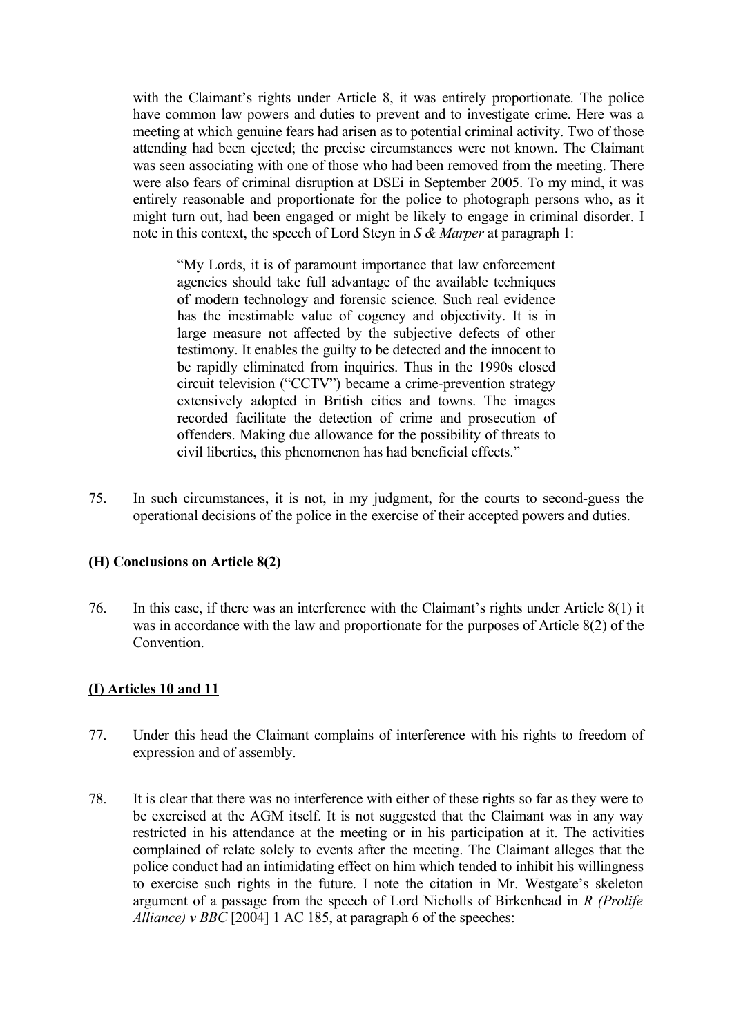with the Claimant's rights under Article 8, it was entirely proportionate. The police have common law powers and duties to prevent and to investigate crime. Here was a meeting at which genuine fears had arisen as to potential criminal activity. Two of those attending had been ejected; the precise circumstances were not known. The Claimant was seen associating with one of those who had been removed from the meeting. There were also fears of criminal disruption at DSEi in September 2005. To my mind, it was entirely reasonable and proportionate for the police to photograph persons who, as it might turn out, had been engaged or might be likely to engage in criminal disorder. I note in this context, the speech of Lord Steyn in *S & Marper* at paragraph 1:

"My Lords, it is of paramount importance that law enforcement agencies should take full advantage of the available techniques of modern technology and forensic science. Such real evidence has the inestimable value of cogency and objectivity. It is in large measure not affected by the subjective defects of other testimony. It enables the guilty to be detected and the innocent to be rapidly eliminated from inquiries. Thus in the 1990s closed circuit television ("CCTV") became a crime-prevention strategy extensively adopted in British cities and towns. The images recorded facilitate the detection of crime and prosecution of offenders. Making due allowance for the possibility of threats to civil liberties, this phenomenon has had beneficial effects."

75. In such circumstances, it is not, in my judgment, for the courts to second-guess the operational decisions of the police in the exercise of their accepted powers and duties.

## **(H) Conclusions on Article 8(2)**

76. In this case, if there was an interference with the Claimant's rights under Article 8(1) it was in accordance with the law and proportionate for the purposes of Article 8(2) of the Convention.

## **(I) Articles 10 and 11**

- 77. Under this head the Claimant complains of interference with his rights to freedom of expression and of assembly.
- 78. It is clear that there was no interference with either of these rights so far as they were to be exercised at the AGM itself. It is not suggested that the Claimant was in any way restricted in his attendance at the meeting or in his participation at it. The activities complained of relate solely to events after the meeting. The Claimant alleges that the police conduct had an intimidating effect on him which tended to inhibit his willingness to exercise such rights in the future. I note the citation in Mr. Westgate's skeleton argument of a passage from the speech of Lord Nicholls of Birkenhead in *R (Prolife Alliance*) *v BBC* [2004] 1 AC 185, at paragraph 6 of the speeches: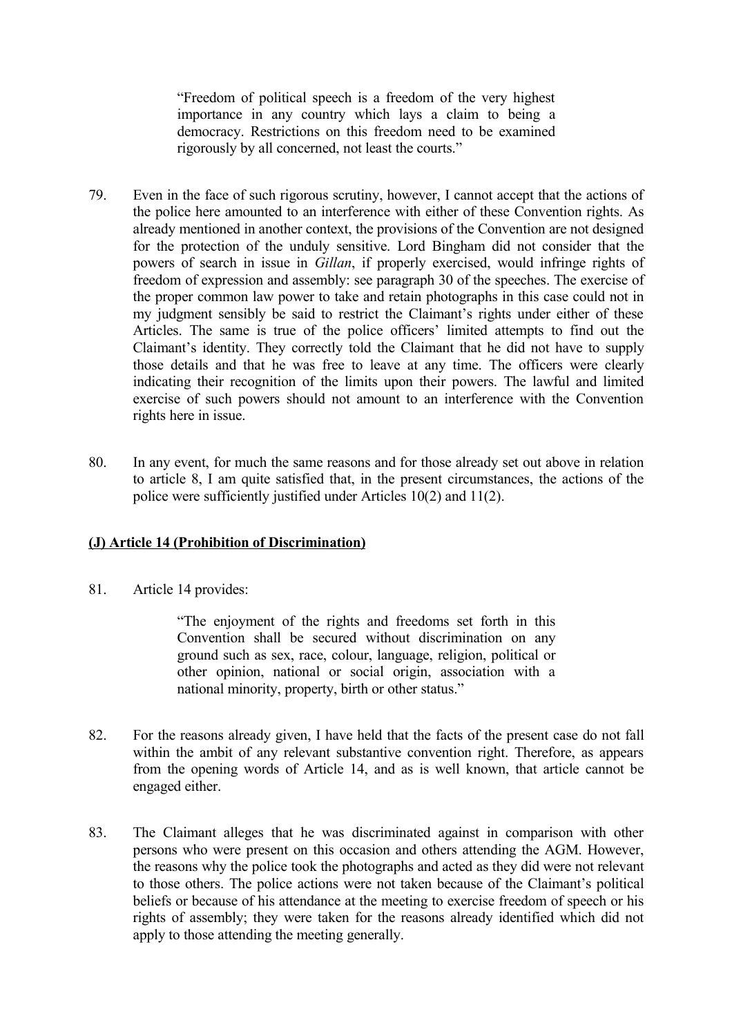"Freedom of political speech is a freedom of the very highest importance in any country which lays a claim to being a democracy. Restrictions on this freedom need to be examined rigorously by all concerned, not least the courts."

- 79. Even in the face of such rigorous scrutiny, however, I cannot accept that the actions of the police here amounted to an interference with either of these Convention rights. As already mentioned in another context, the provisions of the Convention are not designed for the protection of the unduly sensitive. Lord Bingham did not consider that the powers of search in issue in *Gillan*, if properly exercised, would infringe rights of freedom of expression and assembly: see paragraph 30 of the speeches. The exercise of the proper common law power to take and retain photographs in this case could not in my judgment sensibly be said to restrict the Claimant's rights under either of these Articles. The same is true of the police officers' limited attempts to find out the Claimant's identity. They correctly told the Claimant that he did not have to supply those details and that he was free to leave at any time. The officers were clearly indicating their recognition of the limits upon their powers. The lawful and limited exercise of such powers should not amount to an interference with the Convention rights here in issue.
- 80. In any event, for much the same reasons and for those already set out above in relation to article 8, I am quite satisfied that, in the present circumstances, the actions of the police were sufficiently justified under Articles 10(2) and 11(2).

## **(J) Article 14 (Prohibition of Discrimination)**

81. Article 14 provides:

"The enjoyment of the rights and freedoms set forth in this Convention shall be secured without discrimination on any ground such as sex, race, colour, language, religion, political or other opinion, national or social origin, association with a national minority, property, birth or other status."

- 82. For the reasons already given, I have held that the facts of the present case do not fall within the ambit of any relevant substantive convention right. Therefore, as appears from the opening words of Article 14, and as is well known, that article cannot be engaged either.
- 83. The Claimant alleges that he was discriminated against in comparison with other persons who were present on this occasion and others attending the AGM. However, the reasons why the police took the photographs and acted as they did were not relevant to those others. The police actions were not taken because of the Claimant's political beliefs or because of his attendance at the meeting to exercise freedom of speech or his rights of assembly; they were taken for the reasons already identified which did not apply to those attending the meeting generally.